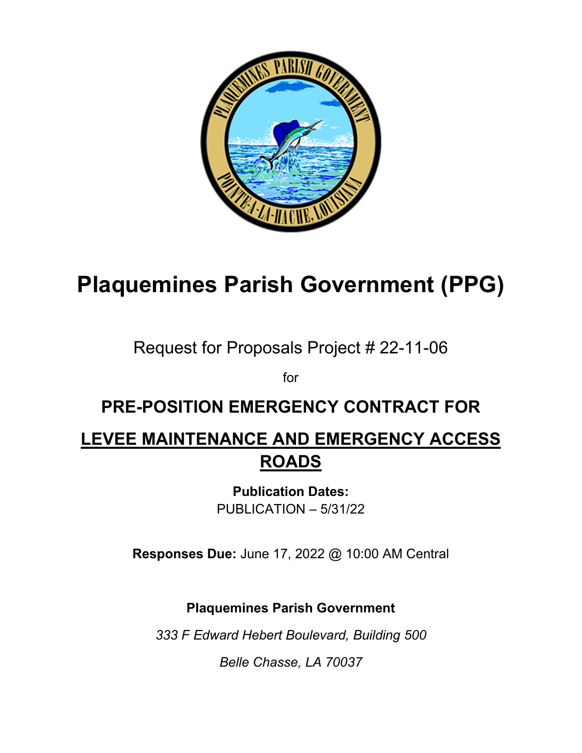

# **Plaquemines Parish Government (PPG)**

## Request for Proposals Project # 22-11-06

for

## **PRE-POSITION EMERGENCY CONTRACT FOR**

## **LEVEE MAINTENANCE AND EMERGENCY ACCESS ROADS**

**Publication Dates:** PUBLICATION – 5/31/22

**Responses Due:** June 17, 2022 @ 10:00 AM Central

**Plaquemines Parish Government**

*333 F Edward Hebert Boulevard, Building 500*

*Belle Chasse, LA 70037*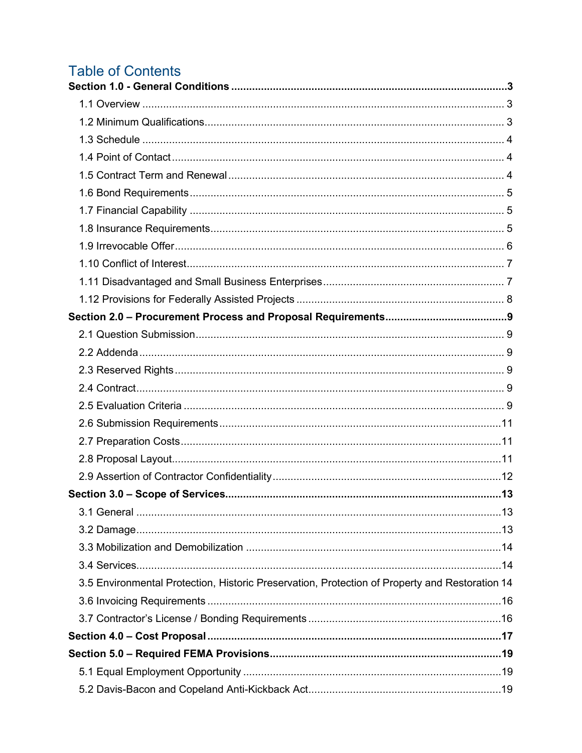## **Table of Contents**

| 3.5 Environmental Protection, Historic Preservation, Protection of Property and Restoration 14 |  |
|------------------------------------------------------------------------------------------------|--|
|                                                                                                |  |
|                                                                                                |  |
|                                                                                                |  |
|                                                                                                |  |
|                                                                                                |  |
|                                                                                                |  |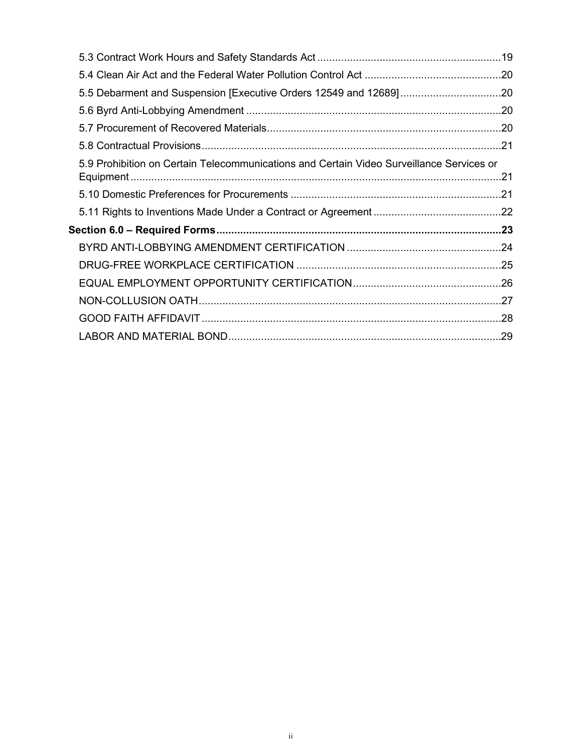| 5.5 Debarment and Suspension [Executive Orders 12549 and 12689]20                        |  |
|------------------------------------------------------------------------------------------|--|
|                                                                                          |  |
|                                                                                          |  |
|                                                                                          |  |
| 5.9 Prohibition on Certain Telecommunications and Certain Video Surveillance Services or |  |
|                                                                                          |  |
|                                                                                          |  |
|                                                                                          |  |
|                                                                                          |  |
|                                                                                          |  |
|                                                                                          |  |
|                                                                                          |  |
|                                                                                          |  |
|                                                                                          |  |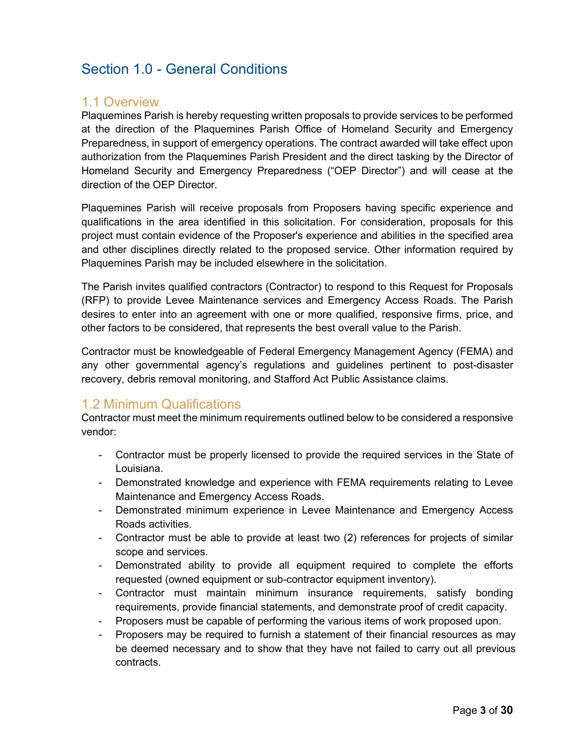## <span id="page-3-0"></span>Section 1.0 - General Conditions

#### <span id="page-3-1"></span>1.1 Overview

Plaquemines Parish is hereby requesting written proposals to provide services to be performed at the direction of the Plaquemines Parish Office of Homeland Security and Emergency Preparedness, in support of emergency operations. The contract awarded will take effect upon authorization from the Plaquemines Parish President and the direct tasking by the Director of Homeland Security and Emergency Preparedness ("OEP Director") and will cease at the direction of the OEP Director.

Plaquemines Parish will receive proposals from Proposers having specific experience and qualifications in the area identified in this solicitation. For consideration, proposals for this project must contain evidence of the Proposer's experience and abilities in the specified area and other disciplines directly related to the proposed service. Other information required by Plaquemines Parish may be included elsewhere in the solicitation.

The Parish invites qualified contractors (Contractor) to respond to this Request for Proposals (RFP) to provide Levee Maintenance services and Emergency Access Roads. The Parish desires to enter into an agreement with one or more qualified, responsive firms, price, and other factors to be considered, that represents the best overall value to the Parish.

Contractor must be knowledgeable of Federal Emergency Management Agency (FEMA) and any other governmental agency's regulations and guidelines pertinent to post-disaster recovery, debris removal monitoring, and Stafford Act Public Assistance claims.

#### <span id="page-3-2"></span>1.2 Minimum Qualifications

Contractor must meet the minimum requirements outlined below to be considered a responsive vendor:

- Contractor must be properly licensed to provide the required services in the State of Louisiana.
- Demonstrated knowledge and experience with FEMA requirements relating to Levee Maintenance and Emergency Access Roads.
- Demonstrated minimum experience in Levee Maintenance and Emergency Access Roads activities.
- Contractor must be able to provide at least two (2) references for projects of similar scope and services.
- Demonstrated ability to provide all equipment required to complete the efforts requested (owned equipment or sub-contractor equipment inventory).
- Contractor must maintain minimum insurance requirements, satisfy bonding requirements, provide financial statements, and demonstrate proof of credit capacity.
- Proposers must be capable of performing the various items of work proposed upon.
- Proposers may be required to furnish a statement of their financial resources as may be deemed necessary and to show that they have not failed to carry out all previous contracts.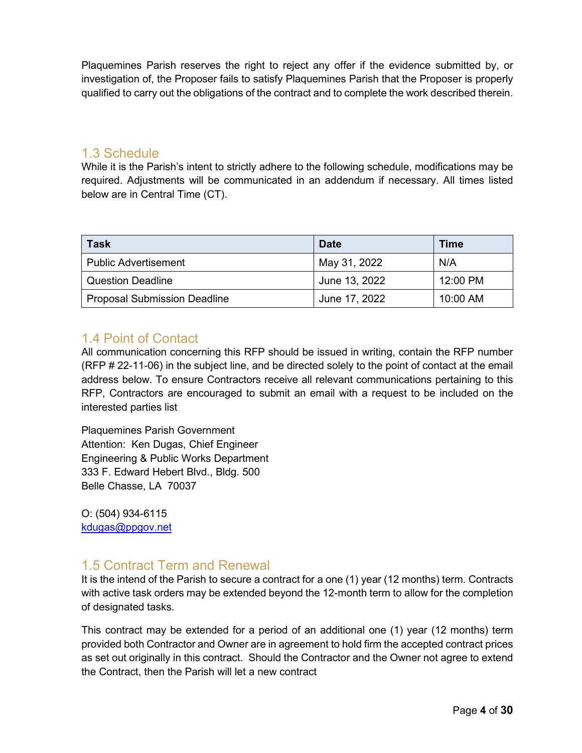Plaquemines Parish reserves the right to reject any offer if the evidence submitted by, or investigation of, the Proposer fails to satisfy Plaquemines Parish that the Proposer is properly qualified to carry out the obligations of the contract and to complete the work described therein.

#### <span id="page-4-0"></span>1.3 Schedule

While it is the Parish's intent to strictly adhere to the following schedule, modifications may be required. Adjustments will be communicated in an addendum if necessary. All times listed below are in Central Time (CT).

| <b>Task</b>                         | <b>Date</b>   | <b>Time</b> |
|-------------------------------------|---------------|-------------|
| <b>Public Advertisement</b>         | May 31, 2022  | N/A         |
| <b>Question Deadline</b>            | June 13, 2022 | 12:00 PM    |
| <b>Proposal Submission Deadline</b> | June 17, 2022 | $10:00$ AM  |

#### <span id="page-4-1"></span>1.4 Point of Contact

All communication concerning this RFP should be issued in writing, contain the RFP number (RFP # 22-11-06) in the subject line, and be directed solely to the point of contact at the email address below. To ensure Contractors receive all relevant communications pertaining to this RFP, Contractors are encouraged to submit an email with a request to be included on the interested parties list

Plaquemines Parish Government Attention: Ken Dugas, Chief Engineer Engineering & Public Works Department 333 F. Edward Hebert Blvd., Bldg. 500 Belle Chasse, LA 70037

O: (504) 934-6115 [kdugas@ppgov.net](mailto:pharvey@ppgov.net)

#### <span id="page-4-2"></span>1.5 Contract Term and Renewal

It is the intend of the Parish to secure a contract for a one (1) year (12 months) term. Contracts with active task orders may be extended beyond the 12-month term to allow for the completion of designated tasks.

This contract may be extended for a period of an additional one (1) year (12 months) term provided both Contractor and Owner are in agreement to hold firm the accepted contract prices as set out originally in this contract. Should the Contractor and the Owner not agree to extend the Contract, then the Parish will let a new contract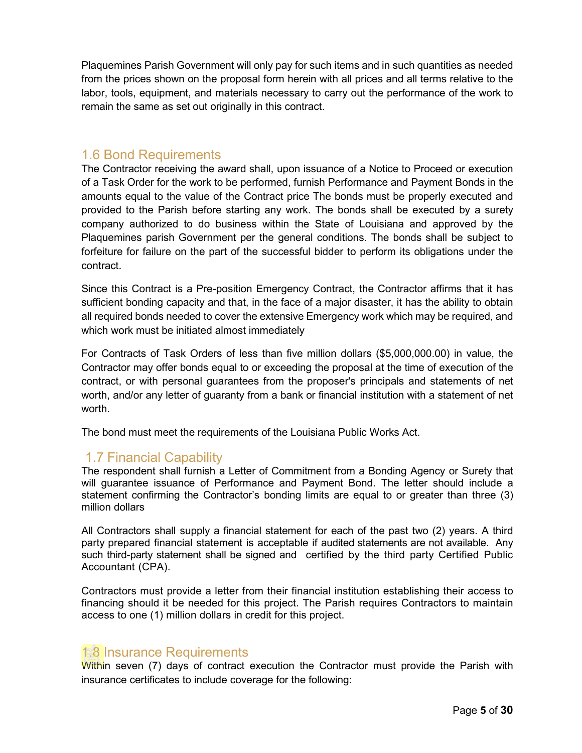Plaquemines Parish Government will only pay for such items and in such quantities as needed from the prices shown on the proposal form herein with all prices and all terms relative to the labor, tools, equipment, and materials necessary to carry out the performance of the work to remain the same as set out originally in this contract.

#### <span id="page-5-0"></span>1.6 Bond Requirements

The Contractor receiving the award shall, upon issuance of a Notice to Proceed or execution of a Task Order for the work to be performed, furnish Performance and Payment Bonds in the amounts equal to the value of the Contract price The bonds must be properly executed and provided to the Parish before starting any work. The bonds shall be executed by a surety company authorized to do business within the State of Louisiana and approved by the Plaquemines parish Government per the general conditions. The bonds shall be subject to forfeiture for failure on the part of the successful bidder to perform its obligations under the contract.

Since this Contract is a Pre-position Emergency Contract, the Contractor affirms that it has sufficient bonding capacity and that, in the face of a major disaster, it has the ability to obtain all required bonds needed to cover the extensive Emergency work which may be required, and which work must be initiated almost immediately

For Contracts of Task Orders of less than five million dollars (\$5,000,000.00) in value, the Contractor may offer bonds equal to or exceeding the proposal at the time of execution of the contract, or with personal guarantees from the proposer's principals and statements of net worth, and/or any letter of guaranty from a bank or financial institution with a statement of net worth.

The bond must meet the requirements of the Louisiana Public Works Act.

#### <span id="page-5-1"></span>1.7 Financial Capability

The respondent shall furnish a Letter of Commitment from a Bonding Agency or Surety that will guarantee issuance of Performance and Payment Bond. The letter should include a statement confirming the Contractor's bonding limits are equal to or greater than three (3) million dollars

All Contractors shall supply a financial statement for each of the past two (2) years. A third party prepared financial statement is acceptable if audited statements are not available. Any such third-party statement shall be signed and certified by the third party Certified Public Accountant (CPA).

Contractors must provide a letter from their financial institution establishing their access to financing should it be needed for this project. The Parish requires Contractors to maintain access to one (1) million dollars in credit for this project.

#### <span id="page-5-2"></span>1.8 Insurance Requirements

Within seven (7) days of contract execution the Contractor must provide the Parish with insurance certificates to include coverage for the following: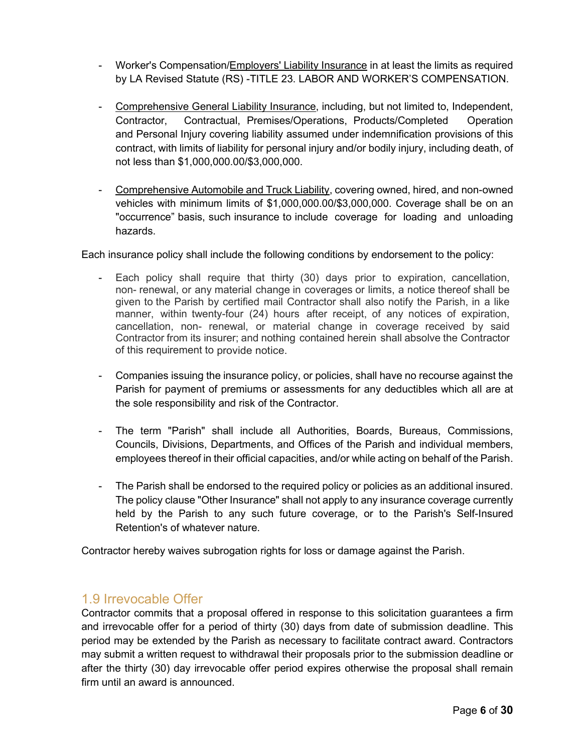- Worker's Compensation/Employers' Liability Insurance in at least the limits as required by LA Revised Statute (RS) -TITLE 23. LABOR AND WORKER'S COMPENSATION.
- Comprehensive General Liability Insurance, including, but not limited to, Independent, Contractor, Contractual, Premises/Operations, Products/Completed Operation and Personal Injury covering liability assumed under indemnification provisions of this contract, with limits of liability for personal injury and/or bodily injury, including death, of not less than \$1,000,000.00/\$3,000,000.
- Comprehensive Automobile and Truck Liability, covering owned, hired, and non-owned vehicles with minimum limits of \$1,000,000.00/\$3,000,000. Coverage shall be on an "occurrence" basis, such insurance to include coverage for loading and unloading hazards.

Each insurance policy shall include the following conditions by endorsement to the policy:

- Each policy shall require that thirty (30) days prior to expiration, cancellation, non- renewal, or any material change in coverages or limits, a notice thereof shall be given to the Parish by certified mail Contractor shall also notify the Parish, in a like manner, within twenty-four (24) hours after receipt, of any notices of expiration, cancellation, non- renewal, or material change in coverage received by said Contractor from its insurer; and nothing contained herein shall absolve the Contractor of this requirement to provide notice.
- Companies issuing the insurance policy, or policies, shall have no recourse against the Parish for payment of premiums or assessments for any deductibles which all are at the sole responsibility and risk of the Contractor.
- The term "Parish" shall include all Authorities, Boards, Bureaus, Commissions, Councils, Divisions, Departments, and Offices of the Parish and individual members, employees thereof in their official capacities, and/or while acting on behalf of the Parish.
- The Parish shall be endorsed to the required policy or policies as an additional insured. The policy clause "Other Insurance" shall not apply to any insurance coverage currently held by the Parish to any such future coverage, or to the Parish's Self-Insured Retention's of whatever nature.

Contractor hereby waives subrogation rights for loss or damage against the Parish.

#### <span id="page-6-0"></span>1.9 Irrevocable Offer

Contractor commits that a proposal offered in response to this solicitation guarantees a firm and irrevocable offer for a period of thirty (30) days from date of submission deadline. This period may be extended by the Parish as necessary to facilitate contract award. Contractors may submit a written request to withdrawal their proposals prior to the submission deadline or after the thirty (30) day irrevocable offer period expires otherwise the proposal shall remain firm until an award is announced.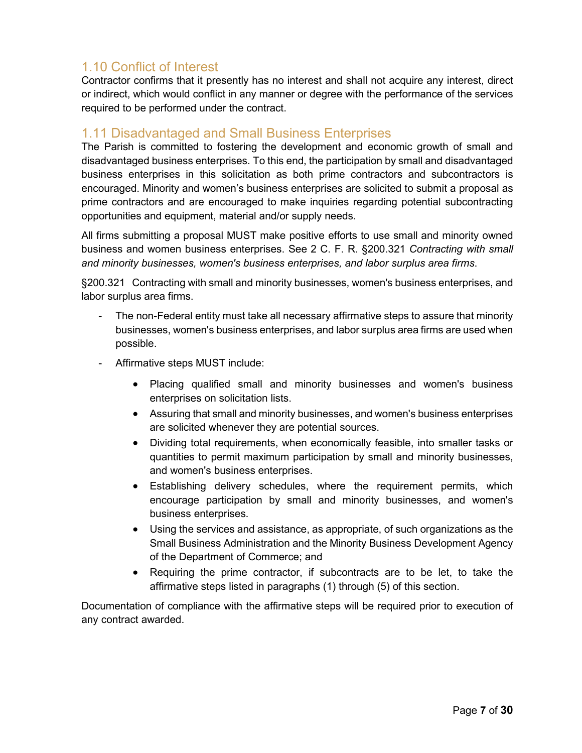### <span id="page-7-0"></span>1.10 Conflict of Interest

Contractor confirms that it presently has no interest and shall not acquire any interest, direct or indirect, which would conflict in any manner or degree with the performance of the services required to be performed under the contract.

#### <span id="page-7-1"></span>1.11 Disadvantaged and Small Business Enterprises

The Parish is committed to fostering the development and economic growth of small and disadvantaged business enterprises. To this end, the participation by small and disadvantaged business enterprises in this solicitation as both prime contractors and subcontractors is encouraged. Minority and women's business enterprises are solicited to submit a proposal as prime contractors and are encouraged to make inquiries regarding potential subcontracting opportunities and equipment, material and/or supply needs.

All firms submitting a proposal MUST make positive efforts to use small and minority owned business and women business enterprises. See 2 C. F. R. §200.321 *Contracting with small and minority businesses, women's business enterprises, and labor surplus area firms*.

§200.321 Contracting with small and minority businesses, women's business enterprises, and labor surplus area firms.

- The non-Federal entity must take all necessary affirmative steps to assure that minority businesses, women's business enterprises, and labor surplus area firms are used when possible.
- Affirmative steps MUST include:
	- Placing qualified small and minority businesses and women's business enterprises on solicitation lists.
	- Assuring that small and minority businesses, and women's business enterprises are solicited whenever they are potential sources.
	- Dividing total requirements, when economically feasible, into smaller tasks or quantities to permit maximum participation by small and minority businesses, and women's business enterprises.
	- Establishing delivery schedules, where the requirement permits, which encourage participation by small and minority businesses, and women's business enterprises.
	- Using the services and assistance, as appropriate, of such organizations as the Small Business Administration and the Minority Business Development Agency of the Department of Commerce; and
	- Requiring the prime contractor, if subcontracts are to be let, to take the affirmative steps listed in paragraphs (1) through (5) of this section.

Documentation of compliance with the affirmative steps will be required prior to execution of any contract awarded.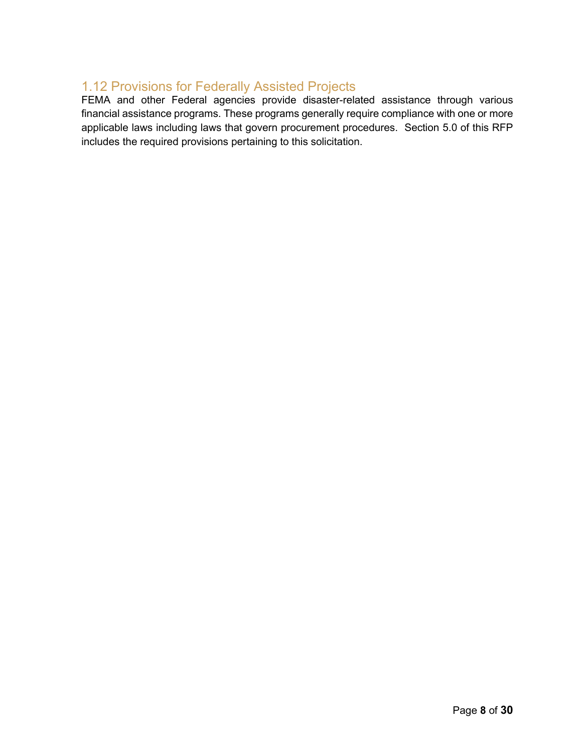#### <span id="page-8-0"></span>1.12 Provisions for Federally Assisted Projects

FEMA and other Federal agencies provide disaster-related assistance through various financial assistance programs. These programs generally require compliance with one or more applicable laws including laws that govern procurement procedures. Section 5.0 of this RFP includes the required provisions pertaining to this solicitation.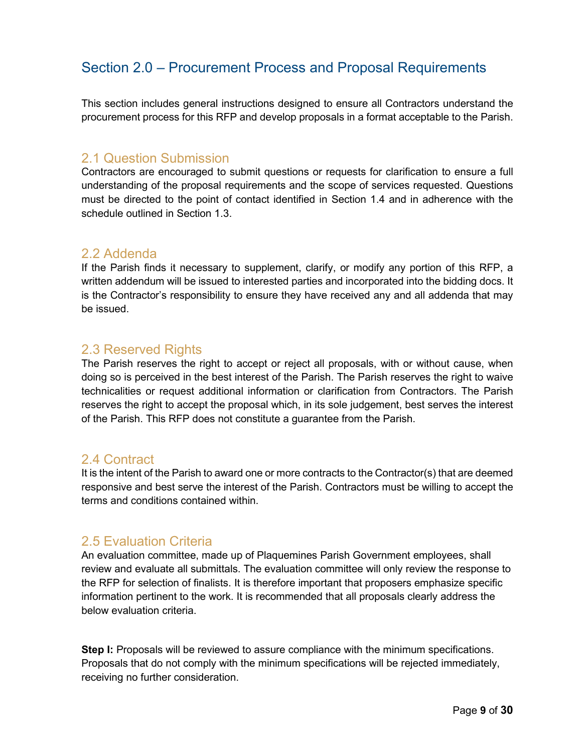## <span id="page-9-0"></span>Section 2.0 – Procurement Process and Proposal Requirements

This section includes general instructions designed to ensure all Contractors understand the procurement process for this RFP and develop proposals in a format acceptable to the Parish.

#### <span id="page-9-1"></span>2.1 Question Submission

Contractors are encouraged to submit questions or requests for clarification to ensure a full understanding of the proposal requirements and the scope of services requested. Questions must be directed to the point of contact identified in Section 1.4 and in adherence with the schedule outlined in Section 1.3.

#### <span id="page-9-2"></span>2.2 Addenda

If the Parish finds it necessary to supplement, clarify, or modify any portion of this RFP, a written addendum will be issued to interested parties and incorporated into the bidding docs. It is the Contractor's responsibility to ensure they have received any and all addenda that may be issued.

#### <span id="page-9-3"></span>2.3 Reserved Rights

The Parish reserves the right to accept or reject all proposals, with or without cause, when doing so is perceived in the best interest of the Parish. The Parish reserves the right to waive technicalities or request additional information or clarification from Contractors. The Parish reserves the right to accept the proposal which, in its sole judgement, best serves the interest of the Parish. This RFP does not constitute a guarantee from the Parish.

#### <span id="page-9-4"></span>2.4 Contract

It is the intent of the Parish to award one or more contracts to the Contractor(s) that are deemed responsive and best serve the interest of the Parish. Contractors must be willing to accept the terms and conditions contained within.

#### <span id="page-9-5"></span>2.5 Evaluation Criteria

An evaluation committee, made up of Plaquemines Parish Government employees, shall review and evaluate all submittals. The evaluation committee will only review the response to the RFP for selection of finalists. It is therefore important that proposers emphasize specific information pertinent to the work. It is recommended that all proposals clearly address the below evaluation criteria.

**Step I:** Proposals will be reviewed to assure compliance with the minimum specifications. Proposals that do not comply with the minimum specifications will be rejected immediately, receiving no further consideration.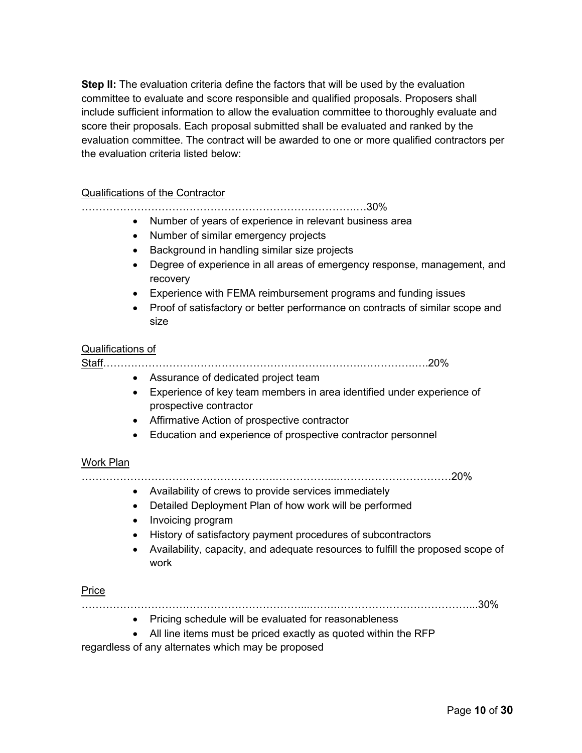**Step II:** The evaluation criteria define the factors that will be used by the evaluation committee to evaluate and score responsible and qualified proposals. Proposers shall include sufficient information to allow the evaluation committee to thoroughly evaluate and score their proposals. Each proposal submitted shall be evaluated and ranked by the evaluation committee. The contract will be awarded to one or more qualified contractors per the evaluation criteria listed below:

#### Qualifications of the Contractor

…………………………………………………………………….…30%

- Number of years of experience in relevant business area
- Number of similar emergency projects
- Background in handling similar size projects
- Degree of experience in all areas of emergency response, management, and recovery
- Experience with FEMA reimbursement programs and funding issues
- Proof of satisfactory or better performance on contracts of similar scope and size

#### Qualifications of

Staff……………………………………………………….……….…………….….20%

- Assurance of dedicated project team
- Experience of key team members in area identified under experience of prospective contractor
- Affirmative Action of prospective contractor
- Education and experience of prospective contractor personnel

#### Work Plan

……………………………….……………….……………...……………………………20%

- Availability of crews to provide services immediately
- Detailed Deployment Plan of how work will be performed
- Invoicing program
- History of satisfactory payment procedures of subcontractors
- Availability, capacity, and adequate resources to fulfill the proposed scope of work

#### Price

………………………………………………………...…….…………………………………...30%

- Pricing schedule will be evaluated for reasonableness
- All line items must be priced exactly as quoted within the RFP

regardless of any alternates which may be proposed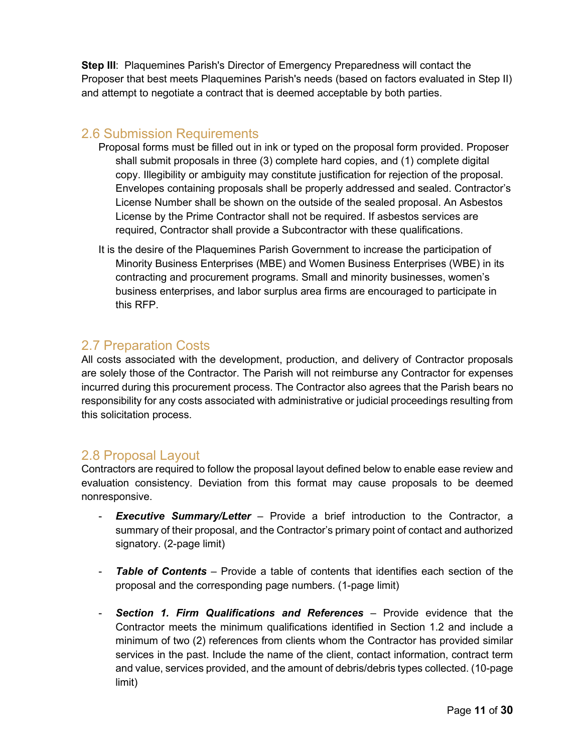**Step III**: Plaquemines Parish's Director of Emergency Preparedness will contact the Proposer that best meets Plaquemines Parish's needs (based on factors evaluated in Step II) and attempt to negotiate a contract that is deemed acceptable by both parties.

#### <span id="page-11-0"></span>2.6 Submission Requirements

- Proposal forms must be filled out in ink or typed on the proposal form provided. Proposer shall submit proposals in three (3) complete hard copies, and (1) complete digital copy. Illegibility or ambiguity may constitute justification for rejection of the proposal. Envelopes containing proposals shall be properly addressed and sealed. Contractor's License Number shall be shown on the outside of the sealed proposal. An Asbestos License by the Prime Contractor shall not be required. If asbestos services are required, Contractor shall provide a Subcontractor with these qualifications.
- It is the desire of the Plaquemines Parish Government to increase the participation of Minority Business Enterprises (MBE) and Women Business Enterprises (WBE) in its contracting and procurement programs. Small and minority businesses, women's business enterprises, and labor surplus area firms are encouraged to participate in this RFP.

#### <span id="page-11-1"></span>2.7 Preparation Costs

All costs associated with the development, production, and delivery of Contractor proposals are solely those of the Contractor. The Parish will not reimburse any Contractor for expenses incurred during this procurement process. The Contractor also agrees that the Parish bears no responsibility for any costs associated with administrative or judicial proceedings resulting from this solicitation process.

#### <span id="page-11-2"></span>2.8 Proposal Layout

Contractors are required to follow the proposal layout defined below to enable ease review and evaluation consistency. Deviation from this format may cause proposals to be deemed nonresponsive.

- **Executive Summary/Letter** Provide a brief introduction to the Contractor, a summary of their proposal, and the Contractor's primary point of contact and authorized signatory. (2-page limit)
- **Table of Contents** Provide a table of contents that identifies each section of the proposal and the corresponding page numbers. (1-page limit)
- **Section 1. Firm Qualifications and References** Provide evidence that the Contractor meets the minimum qualifications identified in Section 1.2 and include a minimum of two (2) references from clients whom the Contractor has provided similar services in the past. Include the name of the client, contact information, contract term and value, services provided, and the amount of debris/debris types collected. (10-page limit)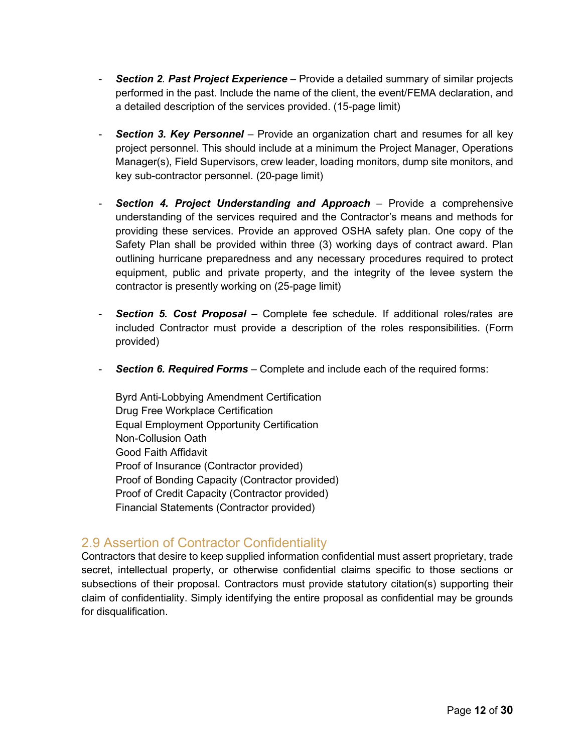- *Section 2. Past Project Experience* Provide a detailed summary of similar projects performed in the past. Include the name of the client, the event/FEMA declaration, and a detailed description of the services provided. (15-page limit)
- **Section 3. Key Personnel** Provide an organization chart and resumes for all key project personnel. This should include at a minimum the Project Manager, Operations Manager(s), Field Supervisors, crew leader, loading monitors, dump site monitors, and key sub-contractor personnel. (20-page limit)
- **Section 4. Project Understanding and Approach** Provide a comprehensive understanding of the services required and the Contractor's means and methods for providing these services. Provide an approved OSHA safety plan. One copy of the Safety Plan shall be provided within three (3) working days of contract award. Plan outlining hurricane preparedness and any necessary procedures required to protect equipment, public and private property, and the integrity of the levee system the contractor is presently working on (25-page limit)
- **Section 5. Cost Proposal** Complete fee schedule. If additional roles/rates are included Contractor must provide a description of the roles responsibilities. (Form provided)
- **Section 6. Required Forms** Complete and include each of the required forms:

Byrd Anti-Lobbying Amendment Certification Drug Free Workplace Certification Equal Employment Opportunity Certification Non-Collusion Oath Good Faith Affidavit Proof of Insurance (Contractor provided) Proof of Bonding Capacity (Contractor provided) Proof of Credit Capacity (Contractor provided) Financial Statements (Contractor provided)

#### <span id="page-12-0"></span>2.9 Assertion of Contractor Confidentiality

Contractors that desire to keep supplied information confidential must assert proprietary, trade secret, intellectual property, or otherwise confidential claims specific to those sections or subsections of their proposal. Contractors must provide statutory citation(s) supporting their claim of confidentiality. Simply identifying the entire proposal as confidential may be grounds for disqualification.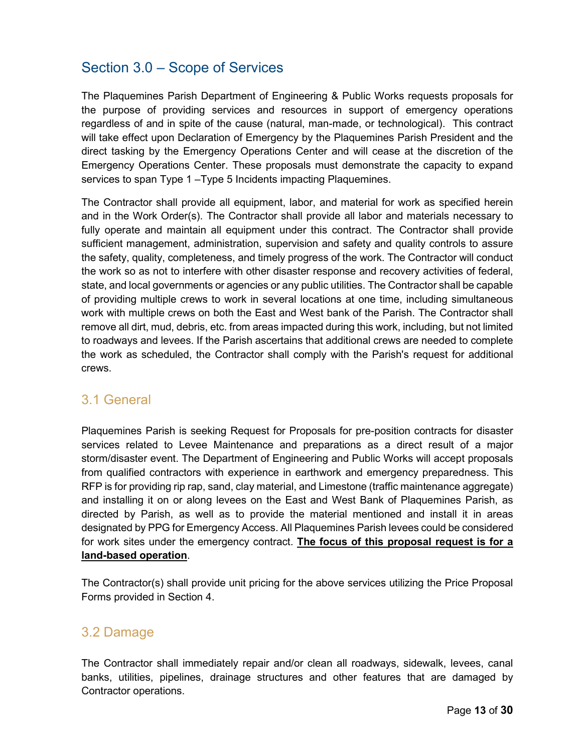## <span id="page-13-0"></span>Section 3.0 – Scope of Services

The Plaquemines Parish Department of Engineering & Public Works requests proposals for the purpose of providing services and resources in support of emergency operations regardless of and in spite of the cause (natural, man-made, or technological). This contract will take effect upon Declaration of Emergency by the Plaquemines Parish President and the direct tasking by the Emergency Operations Center and will cease at the discretion of the Emergency Operations Center. These proposals must demonstrate the capacity to expand services to span Type 1 –Type 5 Incidents impacting Plaquemines.

The Contractor shall provide all equipment, labor, and material for work as specified herein and in the Work Order(s). The Contractor shall provide all labor and materials necessary to fully operate and maintain all equipment under this contract. The Contractor shall provide sufficient management, administration, supervision and safety and quality controls to assure the safety, quality, completeness, and timely progress of the work. The Contractor will conduct the work so as not to interfere with other disaster response and recovery activities of federal, state, and local governments or agencies or any public utilities. The Contractor shall be capable of providing multiple crews to work in several locations at one time, including simultaneous work with multiple crews on both the East and West bank of the Parish. The Contractor shall remove all dirt, mud, debris, etc. from areas impacted during this work, including, but not limited to roadways and levees. If the Parish ascertains that additional crews are needed to complete the work as scheduled, the Contractor shall comply with the Parish's request for additional crews.

#### <span id="page-13-1"></span>3.1 General

Plaquemines Parish is seeking Request for Proposals for pre-position contracts for disaster services related to Levee Maintenance and preparations as a direct result of a major storm/disaster event. The Department of Engineering and Public Works will accept proposals from qualified contractors with experience in earthwork and emergency preparedness. This RFP is for providing rip rap, sand, clay material, and Limestone (traffic maintenance aggregate) and installing it on or along levees on the East and West Bank of Plaquemines Parish, as directed by Parish, as well as to provide the material mentioned and install it in areas designated by PPG for Emergency Access. All Plaquemines Parish levees could be considered for work sites under the emergency contract. **The focus of this proposal request is for a land-based operation**.

The Contractor(s) shall provide unit pricing for the above services utilizing the Price Proposal Forms provided in Section 4.

#### <span id="page-13-2"></span>3.2 Damage

The Contractor shall immediately repair and/or clean all roadways, sidewalk, levees, canal banks, utilities, pipelines, drainage structures and other features that are damaged by Contractor operations.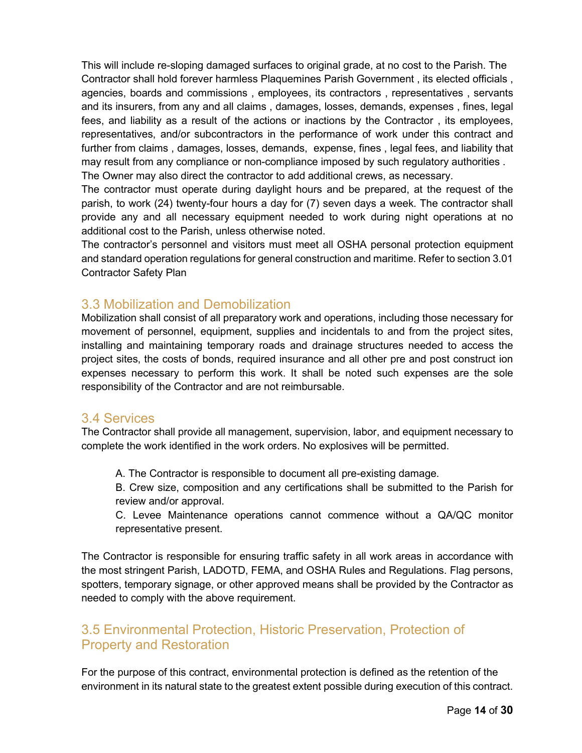This will include re-sloping damaged surfaces to original grade, at no cost to the Parish. The Contractor shall hold forever harmless Plaquemines Parish Government , its elected officials , agencies, boards and commissions , employees, its contractors , representatives , servants and its insurers, from any and all claims , damages, losses, demands, expenses , fines, legal fees, and liability as a result of the actions or inactions by the Contractor , its employees, representatives, and/or subcontractors in the performance of work under this contract and further from claims , damages, losses, demands, expense, fines , legal fees, and liability that may result from any compliance or non-compliance imposed by such regulatory authorities . The Owner may also direct the contractor to add additional crews, as necessary.

The contractor must operate during daylight hours and be prepared, at the request of the parish, to work (24) twenty-four hours a day for (7) seven days a week. The contractor shall provide any and all necessary equipment needed to work during night operations at no additional cost to the Parish, unless otherwise noted.

The contractor's personnel and visitors must meet all OSHA personal protection equipment and standard operation regulations for general construction and maritime. Refer to section 3.01 Contractor Safety Plan

#### <span id="page-14-0"></span>3.3 Mobilization and Demobilization

Mobilization shall consist of all preparatory work and operations, including those necessary for movement of personnel, equipment, supplies and incidentals to and from the project sites, installing and maintaining temporary roads and drainage structures needed to access the project sites, the costs of bonds, required insurance and all other pre and post construct ion expenses necessary to perform this work. It shall be noted such expenses are the sole responsibility of the Contractor and are not reimbursable.

#### <span id="page-14-1"></span>3.4 Services

The Contractor shall provide all management, supervision, labor, and equipment necessary to complete the work identified in the work orders. No explosives will be permitted.

A. The Contractor is responsible to document all pre-existing damage.

B. Crew size, composition and any certifications shall be submitted to the Parish for review and/or approval.

C. Levee Maintenance operations cannot commence without a QA/QC monitor representative present.

The Contractor is responsible for ensuring traffic safety in all work areas in accordance with the most stringent Parish, LADOTD, FEMA, and OSHA Rules and Regulations. Flag persons, spotters, temporary signage, or other approved means shall be provided by the Contractor as needed to comply with the above requirement.

### <span id="page-14-2"></span>3.5 Environmental Protection, Historic Preservation, Protection of Property and Restoration

For the purpose of this contract, environmental protection is defined as the retention of the environment in its natural state to the greatest extent possible during execution of this contract.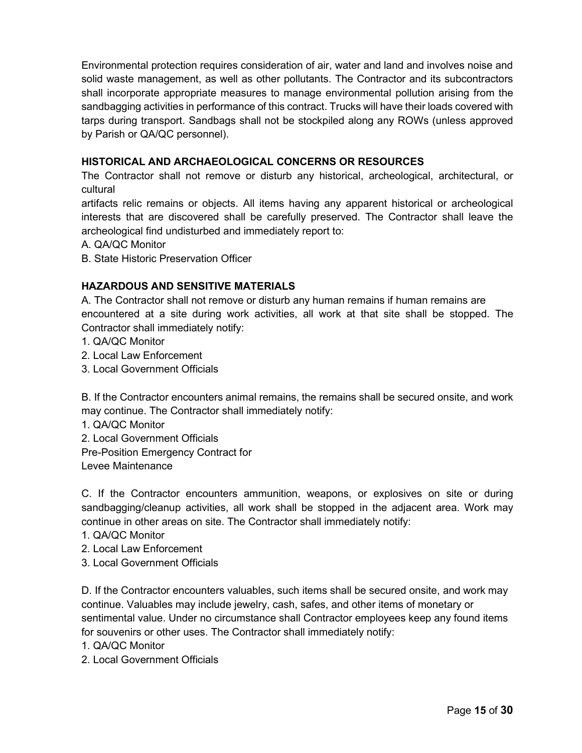Environmental protection requires consideration of air, water and land and involves noise and solid waste management, as well as other pollutants. The Contractor and its subcontractors shall incorporate appropriate measures to manage environmental pollution arising from the sandbagging activities in performance of this contract. Trucks will have their loads covered with tarps during transport. Sandbags shall not be stockpiled along any ROWs (unless approved by Parish or QA/QC personnel).

#### **HISTORICAL AND ARCHAEOLOGICAL CONCERNS OR RESOURCES**

The Contractor shall not remove or disturb any historical, archeological, architectural, or cultural

artifacts relic remains or objects. All items having any apparent historical or archeological interests that are discovered shall be carefully preserved. The Contractor shall leave the archeological find undisturbed and immediately report to:

- A. QA/QC Monitor
- B. State Historic Preservation Officer

#### **HAZARDOUS AND SENSITIVE MATERIALS**

A. The Contractor shall not remove or disturb any human remains if human remains are encountered at a site during work activities, all work at that site shall be stopped. The Contractor shall immediately notify:

- 1. QA/QC Monitor
- 2. Local Law Enforcement
- 3. Local Government Officials

B. If the Contractor encounters animal remains, the remains shall be secured onsite, and work may continue. The Contractor shall immediately notify:

- 1. QA/QC Monitor
- 2. Local Government Officials
- Pre-Position Emergency Contract for

Levee Maintenance

C. If the Contractor encounters ammunition, weapons, or explosives on site or during sandbagging/cleanup activities, all work shall be stopped in the adjacent area. Work may continue in other areas on site. The Contractor shall immediately notify:

- 1. QA/QC Monitor
- 2. Local Law Enforcement
- 3. Local Government Officials

D. If the Contractor encounters valuables, such items shall be secured onsite, and work may continue. Valuables may include jewelry, cash, safes, and other items of monetary or sentimental value. Under no circumstance shall Contractor employees keep any found items for souvenirs or other uses. The Contractor shall immediately notify:

1. QA/QC Monitor

2. Local Government Officials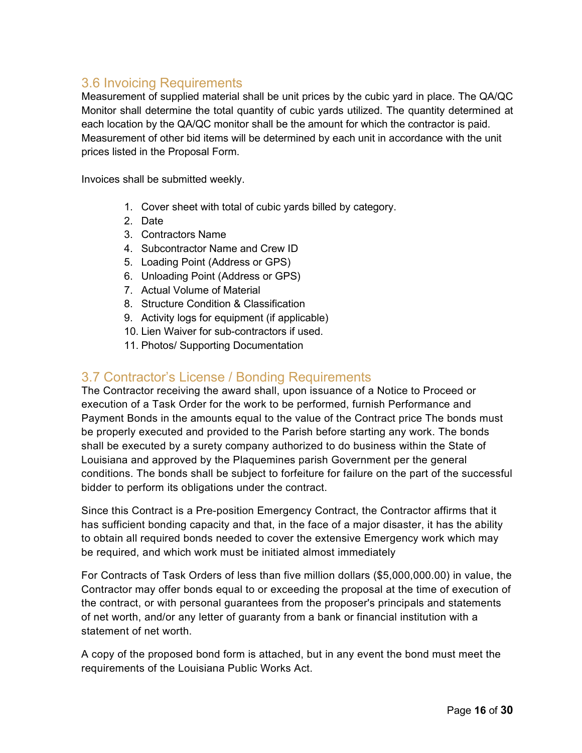#### <span id="page-16-0"></span>3.6 Invoicing Requirements

Measurement of supplied material shall be unit prices by the cubic yard in place. The QA/QC Monitor shall determine the total quantity of cubic yards utilized. The quantity determined at each location by the QA/QC monitor shall be the amount for which the contractor is paid. Measurement of other bid items will be determined by each unit in accordance with the unit prices listed in the Proposal Form.

Invoices shall be submitted weekly.

- 1. Cover sheet with total of cubic yards billed by category.
- 2. Date
- 3. Contractors Name
- 4. Subcontractor Name and Crew ID
- 5. Loading Point (Address or GPS)
- 6. Unloading Point (Address or GPS)
- 7. Actual Volume of Material
- 8. Structure Condition & Classification
- 9. Activity logs for equipment (if applicable)
- 10. Lien Waiver for sub-contractors if used.
- 11. Photos/ Supporting Documentation

#### <span id="page-16-1"></span>3.7 Contractor's License / Bonding Requirements

The Contractor receiving the award shall, upon issuance of a Notice to Proceed or execution of a Task Order for the work to be performed, furnish Performance and Payment Bonds in the amounts equal to the value of the Contract price The bonds must be properly executed and provided to the Parish before starting any work. The bonds shall be executed by a surety company authorized to do business within the State of Louisiana and approved by the Plaquemines parish Government per the general conditions. The bonds shall be subject to forfeiture for failure on the part of the successful bidder to perform its obligations under the contract.

Since this Contract is a Pre-position Emergency Contract, the Contractor affirms that it has sufficient bonding capacity and that, in the face of a major disaster, it has the ability to obtain all required bonds needed to cover the extensive Emergency work which may be required, and which work must be initiated almost immediately

For Contracts of Task Orders of less than five million dollars (\$5,000,000.00) in value, the Contractor may offer bonds equal to or exceeding the proposal at the time of execution of the contract, or with personal guarantees from the proposer's principals and statements of net worth, and/or any letter of guaranty from a bank or financial institution with a statement of net worth.

A copy of the proposed bond form is attached, but in any event the bond must meet the requirements of the Louisiana Public Works Act.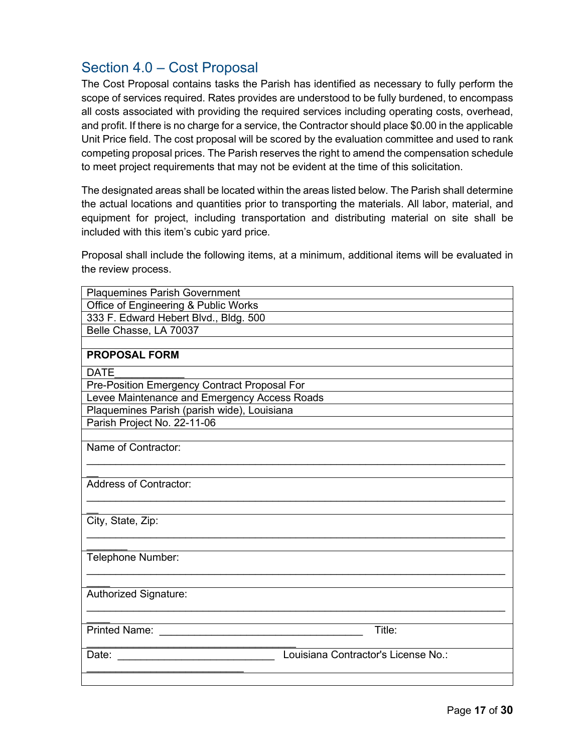## <span id="page-17-0"></span>Section 4.0 – Cost Proposal

The Cost Proposal contains tasks the Parish has identified as necessary to fully perform the scope of services required. Rates provides are understood to be fully burdened, to encompass all costs associated with providing the required services including operating costs, overhead, and profit. If there is no charge for a service, the Contractor should place \$0.00 in the applicable Unit Price field. The cost proposal will be scored by the evaluation committee and used to rank competing proposal prices. The Parish reserves the right to amend the compensation schedule to meet project requirements that may not be evident at the time of this solicitation.

The designated areas shall be located within the areas listed below. The Parish shall determine the actual locations and quantities prior to transporting the materials. All labor, material, and equipment for project, including transportation and distributing material on site shall be included with this item's cubic yard price.

Proposal shall include the following items, at a minimum, additional items will be evaluated in the review process.

| <b>Plaquemines Parish Government</b>         |  |
|----------------------------------------------|--|
| Office of Engineering & Public Works         |  |
| 333 F. Edward Hebert Blvd., Bldg. 500        |  |
| Belle Chasse, LA 70037                       |  |
|                                              |  |
| <b>PROPOSAL FORM</b>                         |  |
| <b>DATE</b>                                  |  |
| Pre-Position Emergency Contract Proposal For |  |
| Levee Maintenance and Emergency Access Roads |  |
| Plaquemines Parish (parish wide), Louisiana  |  |
| Parish Project No. 22-11-06                  |  |
|                                              |  |
| Name of Contractor:                          |  |
|                                              |  |
|                                              |  |
| <b>Address of Contractor:</b>                |  |
|                                              |  |
| City, State, Zip:                            |  |
|                                              |  |
|                                              |  |
| Telephone Number:                            |  |
|                                              |  |
|                                              |  |
| Authorized Signature:                        |  |
|                                              |  |
|                                              |  |
| <b>Printed Name:</b><br>Title:               |  |
|                                              |  |
| Louisiana Contractor's License No.:<br>Date: |  |
|                                              |  |
|                                              |  |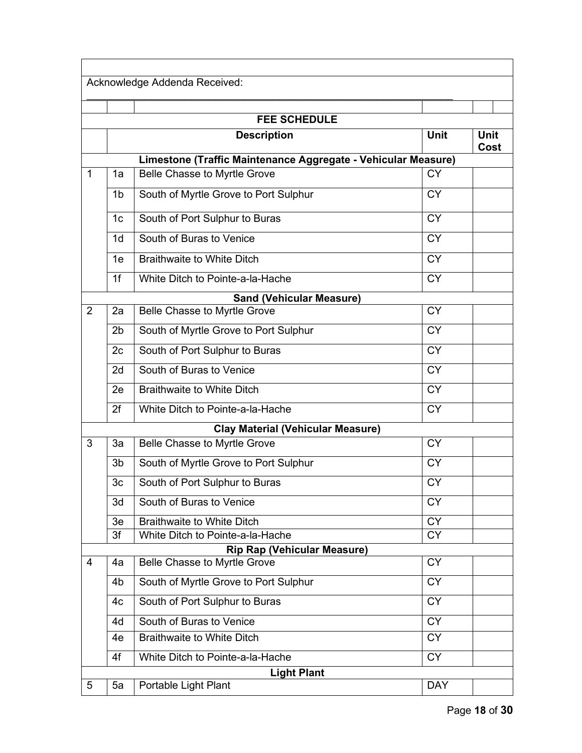|                |                | Acknowledge Addenda Received:                                                                        |                 |             |
|----------------|----------------|------------------------------------------------------------------------------------------------------|-----------------|-------------|
|                |                |                                                                                                      |                 |             |
|                |                | <b>FEE SCHEDULE</b>                                                                                  |                 |             |
|                |                | <b>Description</b>                                                                                   | <b>Unit</b>     | <b>Unit</b> |
|                |                |                                                                                                      |                 | Cost        |
| $\mathbf 1$    | 1a             | Limestone (Traffic Maintenance Aggregate - Vehicular Measure)<br><b>Belle Chasse to Myrtle Grove</b> | <b>CY</b>       |             |
|                |                |                                                                                                      |                 |             |
|                | 1 <sub>b</sub> | South of Myrtle Grove to Port Sulphur                                                                | <b>CY</b>       |             |
|                | 1 <sub>c</sub> | South of Port Sulphur to Buras                                                                       | <b>CY</b>       |             |
|                | 1 <sub>d</sub> | South of Buras to Venice                                                                             | <b>CY</b>       |             |
|                | 1e             | <b>Braithwaite to White Ditch</b>                                                                    | $\overline{CY}$ |             |
|                | 1f             | White Ditch to Pointe-a-la-Hache                                                                     | <b>CY</b>       |             |
|                |                | <b>Sand (Vehicular Measure)</b>                                                                      |                 |             |
| $\overline{2}$ | 2a             | Belle Chasse to Myrtle Grove                                                                         | <b>CY</b>       |             |
|                | 2 <sub>b</sub> | South of Myrtle Grove to Port Sulphur                                                                | <b>CY</b>       |             |
|                | 2c             | South of Port Sulphur to Buras                                                                       | <b>CY</b>       |             |
|                | 2d             | South of Buras to Venice                                                                             | <b>CY</b>       |             |
|                | 2e             | <b>Braithwaite to White Ditch</b>                                                                    | $\overline{CY}$ |             |
|                | 2f             | White Ditch to Pointe-a-la-Hache                                                                     | <b>CY</b>       |             |
|                |                | <b>Clay Material (Vehicular Measure)</b>                                                             |                 |             |
| 3              | 3a             | Belle Chasse to Myrtle Grove                                                                         | <b>CY</b>       |             |
|                | 3b             | South of Myrtle Grove to Port Sulphur                                                                | <b>CY</b>       |             |
|                | 3c             | South of Port Sulphur to Buras                                                                       | <b>CY</b>       |             |
|                | 3d             | South of Buras to Venice                                                                             | <b>CY</b>       |             |
|                | 3e             | <b>Braithwaite to White Ditch</b>                                                                    | <b>CY</b>       |             |
|                | 3f             | White Ditch to Pointe-a-la-Hache                                                                     | <b>CY</b>       |             |
|                |                | <b>Rip Rap (Vehicular Measure)</b>                                                                   |                 |             |
| $\overline{4}$ | 4a             | Belle Chasse to Myrtle Grove                                                                         | <b>CY</b>       |             |
|                | 4 <sub>b</sub> | South of Myrtle Grove to Port Sulphur                                                                | <b>CY</b>       |             |
|                | 4c             | South of Port Sulphur to Buras                                                                       | <b>CY</b>       |             |
|                | 4d             | South of Buras to Venice                                                                             | $\overline{CY}$ |             |
|                | 4e             | <b>Braithwaite to White Ditch</b>                                                                    | <b>CY</b>       |             |
|                | 4f             | White Ditch to Pointe-a-la-Hache                                                                     | $\overline{CY}$ |             |
|                |                | <b>Light Plant</b>                                                                                   |                 |             |
| 5              | 5a             | Portable Light Plant                                                                                 | <b>DAY</b>      |             |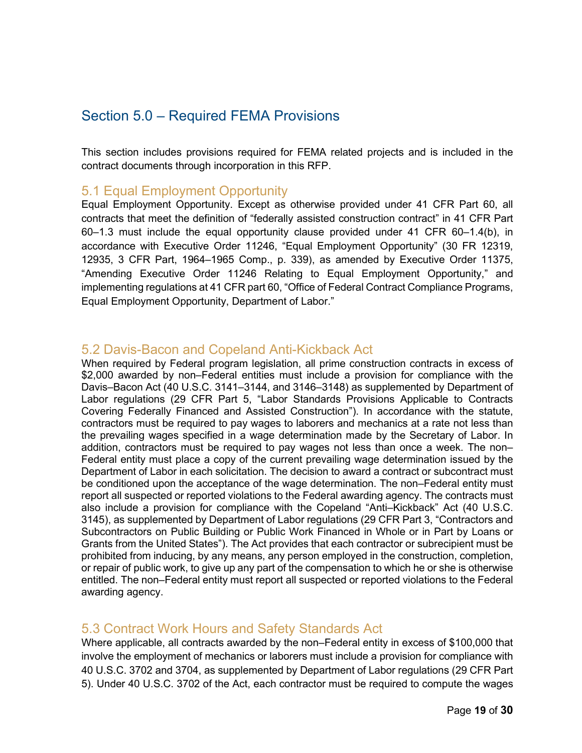## <span id="page-19-0"></span>Section 5.0 – Required FEMA Provisions

This section includes provisions required for FEMA related projects and is included in the contract documents through incorporation in this RFP.

#### <span id="page-19-1"></span>5.1 Equal Employment Opportunity

Equal Employment Opportunity. Except as otherwise provided under 41 CFR Part 60, all contracts that meet the definition of "federally assisted construction contract" in 41 CFR Part 60–1.3 must include the equal opportunity clause provided under [41 CFR 60–1.4\(b\),](http://www.westlaw.com/Link/Document/FullText?findType=L&pubNum=1000547&cite=41CFRS60-1.4&originatingDoc=N9DDCF180DD7B11EAB398EAA2463C6B16&refType=VB&originationContext=document&vr=3.0&rs=cblt1.0&transitionType=DocumentItem&contextData=(sc.Category)#co_pp_a83b000018c76) in accordance with [Executive Order 11246,](http://www.westlaw.com/Link/Document/FullText?findType=Y&serNum=1965078314&pubNum=0001043&originatingDoc=N9DDCF180DD7B11EAB398EAA2463C6B16&refType=CA&originationContext=document&vr=3.0&rs=cblt1.0&transitionType=DocumentItem&contextData=(sc.Category)) ["Equal Employment Opportunity" \(30 FR 12319,](http://www.westlaw.com/Link/Document/FullText?findType=l&pubNum=0001037&cite=UUID(IB387DB7056DC11DAAF82C7913788E36E)&originatingDoc=N9DDCF180DD7B11EAB398EAA2463C6B16&refType=CP&fi=co_pp_sp_1037_12319&originationContext=document&vr=3.0&rs=cblt1.0&transitionType=DocumentItem&contextData=(sc.Category)#co_pp_sp_1037_12319)  [12935, 3](http://www.westlaw.com/Link/Document/FullText?findType=l&pubNum=0001037&cite=UUID(IB387DB7056DC11DAAF82C7913788E36E)&originatingDoc=N9DDCF180DD7B11EAB398EAA2463C6B16&refType=CP&fi=co_pp_sp_1037_12319&originationContext=document&vr=3.0&rs=cblt1.0&transitionType=DocumentItem&contextData=(sc.Category)#co_pp_sp_1037_12319) CFR Part, 1964–1965 Comp., p. 339), as amended by [Executive Order 11375,](http://www.westlaw.com/Link/Document/FullText?findType=Y&serNum=1967087421&pubNum=0001043&originatingDoc=N9DDCF180DD7B11EAB398EAA2463C6B16&refType=CA&originationContext=document&vr=3.0&rs=cblt1.0&transitionType=DocumentItem&contextData=(sc.Category)) "Amending [Executive Order 11246](http://www.westlaw.com/Link/Document/FullText?findType=Y&serNum=1965078314&pubNum=0001043&originatingDoc=N9DDCF180DD7B11EAB398EAA2463C6B16&refType=CA&originationContext=document&vr=3.0&rs=cblt1.0&transitionType=DocumentItem&contextData=(sc.Category)) Relating to Equal Employment Opportunity," and implementing regulations at 41 CFR part 60, "Office of Federal Contract Compliance Programs, Equal Employment Opportunity, Department of Labor."

#### <span id="page-19-2"></span>5.2 Davis-Bacon and Copeland Anti-Kickback Act

When required by Federal program legislation, all prime construction contracts in excess of \$2,000 awarded by non–Federal entities must include a provision for compliance with the Davis–Bacon Act [\(40 U.S.C. 3141](http://www.westlaw.com/Link/Document/FullText?findType=L&pubNum=1000546&cite=40USCAS3141&originatingDoc=N9DDCF180DD7B11EAB398EAA2463C6B16&refType=LQ&originationContext=document&vr=3.0&rs=cblt1.0&transitionType=DocumentItem&contextData=(sc.Category))[–3144,](http://www.westlaw.com/Link/Document/FullText?findType=L&pubNum=1000546&cite=40USCAS3144&originatingDoc=N9DDCF180DD7B11EAB398EAA2463C6B16&refType=LQ&originationContext=document&vr=3.0&rs=cblt1.0&transitionType=DocumentItem&contextData=(sc.Category)) and [3146](http://www.westlaw.com/Link/Document/FullText?findType=L&pubNum=1000546&cite=40USCAS3146&originatingDoc=N9DDCF180DD7B11EAB398EAA2463C6B16&refType=LQ&originationContext=document&vr=3.0&rs=cblt1.0&transitionType=DocumentItem&contextData=(sc.Category))[–3148\)](http://www.westlaw.com/Link/Document/FullText?findType=L&pubNum=1000546&cite=40USCAS3148&originatingDoc=N9DDCF180DD7B11EAB398EAA2463C6B16&refType=LQ&originationContext=document&vr=3.0&rs=cblt1.0&transitionType=DocumentItem&contextData=(sc.Category)) as supplemented by Department of Labor regulations (29 CFR Part 5, "Labor Standards Provisions Applicable to Contracts Covering Federally Financed and Assisted Construction"). In accordance with the statute, contractors must be required to pay wages to laborers and mechanics at a rate not less than the prevailing wages specified in a wage determination made by the Secretary of Labor. In addition, contractors must be required to pay wages not less than once a week. The non– Federal entity must place a copy of the current prevailing wage determination issued by the Department of Labor in each solicitation. The decision to award a contract or subcontract must be conditioned upon the acceptance of the wage determination. The non–Federal entity must report all suspected or reported violations to the Federal awarding agency. The contracts must also include a provision for compliance with the Copeland "Anti–Kickback" Act [\(40 U.S.C.](http://www.westlaw.com/Link/Document/FullText?findType=L&pubNum=1000546&cite=40USCAS3145&originatingDoc=N9DDCF180DD7B11EAB398EAA2463C6B16&refType=LQ&originationContext=document&vr=3.0&rs=cblt1.0&transitionType=DocumentItem&contextData=(sc.Category))  [3145\)](http://www.westlaw.com/Link/Document/FullText?findType=L&pubNum=1000546&cite=40USCAS3145&originatingDoc=N9DDCF180DD7B11EAB398EAA2463C6B16&refType=LQ&originationContext=document&vr=3.0&rs=cblt1.0&transitionType=DocumentItem&contextData=(sc.Category)), as supplemented by Department of Labor regulations (29 CFR Part 3, "Contractors and Subcontractors on Public Building or Public Work Financed in Whole or in Part by Loans or Grants from the United States"). The Act provides that each contractor or subrecipient must be prohibited from inducing, by any means, any person employed in the construction, completion, or repair of public work, to give up any part of the compensation to which he or she is otherwise entitled. The non–Federal entity must report all suspected or reported violations to the Federal awarding agency.

#### <span id="page-19-3"></span>5.3 Contract Work Hours and Safety Standards Act

Where applicable, all contracts awarded by the non–Federal entity in excess of \$100,000 that involve the employment of mechanics or laborers must include a provision for compliance with [40 U.S.C. 3702](http://www.westlaw.com/Link/Document/FullText?findType=L&pubNum=1000546&cite=40USCAS3702&originatingDoc=N9DDCF180DD7B11EAB398EAA2463C6B16&refType=LQ&originationContext=document&vr=3.0&rs=cblt1.0&transitionType=DocumentItem&contextData=(sc.Category)) and [3704,](http://www.westlaw.com/Link/Document/FullText?findType=L&pubNum=1000546&cite=40USCAS3704&originatingDoc=N9DDCF180DD7B11EAB398EAA2463C6B16&refType=LQ&originationContext=document&vr=3.0&rs=cblt1.0&transitionType=DocumentItem&contextData=(sc.Category)) as supplemented by Department of Labor regulations (29 CFR Part 5). Under [40 U.S.C. 3702](http://www.westlaw.com/Link/Document/FullText?findType=L&pubNum=1000546&cite=40USCAS3702&originatingDoc=N9DDCF180DD7B11EAB398EAA2463C6B16&refType=LQ&originationContext=document&vr=3.0&rs=cblt1.0&transitionType=DocumentItem&contextData=(sc.Category)) of the Act, each contractor must be required to compute the wages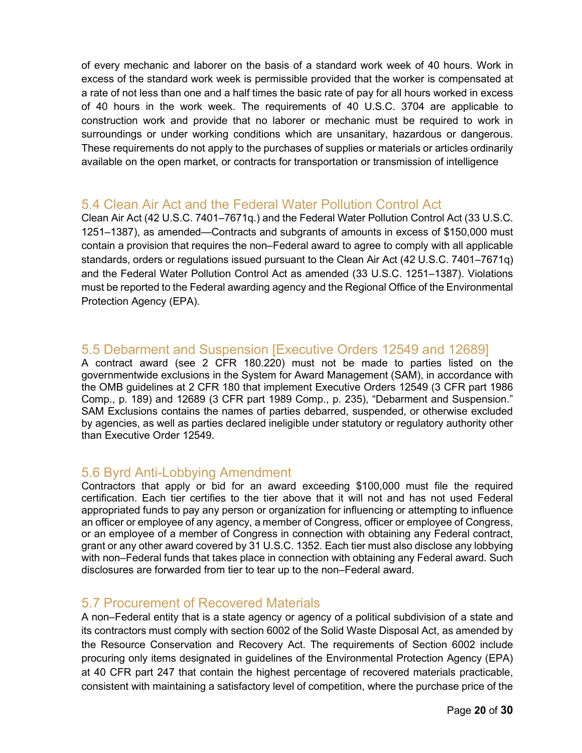of every mechanic and laborer on the basis of a standard work week of 40 hours. Work in excess of the standard work week is permissible provided that the worker is compensated at a rate of not less than one and a half times the basic rate of pay for all hours worked in excess of 40 hours in the work week. The requirements of [40 U.S.C. 3704](http://www.westlaw.com/Link/Document/FullText?findType=L&pubNum=1000546&cite=40USCAS3704&originatingDoc=N9DDCF180DD7B11EAB398EAA2463C6B16&refType=LQ&originationContext=document&vr=3.0&rs=cblt1.0&transitionType=DocumentItem&contextData=(sc.Category)) are applicable to construction work and provide that no laborer or mechanic must be required to work in surroundings or under working conditions which are unsanitary, hazardous or dangerous. These requirements do not apply to the purchases of supplies or materials or articles ordinarily available on the open market, or contracts for transportation or transmission of intelligence

#### <span id="page-20-0"></span>5.4 Clean Air Act and the Federal Water Pollution Control Act

Clean Air Act [\(42 U.S.C. 7401](http://www.westlaw.com/Link/Document/FullText?findType=L&pubNum=1000546&cite=42USCAS7401&originatingDoc=N9DDCF180DD7B11EAB398EAA2463C6B16&refType=LQ&originationContext=document&vr=3.0&rs=cblt1.0&transitionType=DocumentItem&contextData=(sc.Category))[–7671q.](http://www.westlaw.com/Link/Document/FullText?findType=L&pubNum=1000546&cite=42USCAS7671Q&originatingDoc=N9DDCF180DD7B11EAB398EAA2463C6B16&refType=LQ&originationContext=document&vr=3.0&rs=cblt1.0&transitionType=DocumentItem&contextData=(sc.Category))) and the Federal Water Pollution Control Act [\(33 U.S.C.](http://www.westlaw.com/Link/Document/FullText?findType=L&pubNum=1000546&cite=33USCAS1251&originatingDoc=N9DDCF180DD7B11EAB398EAA2463C6B16&refType=LQ&originationContext=document&vr=3.0&rs=cblt1.0&transitionType=DocumentItem&contextData=(sc.Category))  [1251](http://www.westlaw.com/Link/Document/FullText?findType=L&pubNum=1000546&cite=33USCAS1251&originatingDoc=N9DDCF180DD7B11EAB398EAA2463C6B16&refType=LQ&originationContext=document&vr=3.0&rs=cblt1.0&transitionType=DocumentItem&contextData=(sc.Category))[–1387\)](http://www.westlaw.com/Link/Document/FullText?findType=L&pubNum=1000546&cite=33USCAS1387&originatingDoc=N9DDCF180DD7B11EAB398EAA2463C6B16&refType=LQ&originationContext=document&vr=3.0&rs=cblt1.0&transitionType=DocumentItem&contextData=(sc.Category)), as amended—Contracts and subgrants of amounts in excess of \$150,000 must contain a provision that requires the non–Federal award to agree to comply with all applicable standards, orders or regulations issued pursuant to the Clean Air Act [\(42 U.S.C. 7401](http://www.westlaw.com/Link/Document/FullText?findType=L&pubNum=1000546&cite=42USCAS7401&originatingDoc=N9DDCF180DD7B11EAB398EAA2463C6B16&refType=LQ&originationContext=document&vr=3.0&rs=cblt1.0&transitionType=DocumentItem&contextData=(sc.Category))[–7671q\)](http://www.westlaw.com/Link/Document/FullText?findType=L&pubNum=1000546&cite=42USCAS7671Q&originatingDoc=N9DDCF180DD7B11EAB398EAA2463C6B16&refType=LQ&originationContext=document&vr=3.0&rs=cblt1.0&transitionType=DocumentItem&contextData=(sc.Category)) and the Federal Water Pollution Control Act as amended [\(33 U.S.C. 1251](http://www.westlaw.com/Link/Document/FullText?findType=L&pubNum=1000546&cite=33USCAS1251&originatingDoc=N9DDCF180DD7B11EAB398EAA2463C6B16&refType=LQ&originationContext=document&vr=3.0&rs=cblt1.0&transitionType=DocumentItem&contextData=(sc.Category))[–1387\)](http://www.westlaw.com/Link/Document/FullText?findType=L&pubNum=1000546&cite=33USCAS1387&originatingDoc=N9DDCF180DD7B11EAB398EAA2463C6B16&refType=LQ&originationContext=document&vr=3.0&rs=cblt1.0&transitionType=DocumentItem&contextData=(sc.Category)). Violations must be reported to the Federal awarding agency and the Regional Office of the Environmental Protection Agency (EPA).

#### <span id="page-20-1"></span>5.5 Debarment and Suspension [Executive Orders 12549 and 12689]

A contract award (see [2 CFR 180.220\)](http://www.westlaw.com/Link/Document/FullText?findType=L&pubNum=1000547&cite=2CFRS180.220&originatingDoc=N9DDCF180DD7B11EAB398EAA2463C6B16&refType=VP&originationContext=document&vr=3.0&rs=cblt1.0&transitionType=DocumentItem&contextData=(sc.Category)) must not be made to parties listed on the governmentwide exclusions in the System for Award Management (SAM), in accordance with the OMB guidelines at 2 CFR 180 that implement [Executive Orders 12549 \(3 CFR part 1986](http://www.westlaw.com/Link/Document/FullText?findType=Y&serNum=1986307694&pubNum=0001043&originatingDoc=N9DDCF180DD7B11EAB398EAA2463C6B16&refType=CA&originationContext=document&vr=3.0&rs=cblt1.0&transitionType=DocumentItem&contextData=(sc.Category))  [Comp., p. 189\)](http://www.westlaw.com/Link/Document/FullText?findType=Y&serNum=1986307694&pubNum=0001043&originatingDoc=N9DDCF180DD7B11EAB398EAA2463C6B16&refType=CA&originationContext=document&vr=3.0&rs=cblt1.0&transitionType=DocumentItem&contextData=(sc.Category)) and 12689 (3 CFR part 1989 Comp., p. 235), "Debarment and Suspension." SAM Exclusions contains the names of parties debarred, suspended, or otherwise excluded by agencies, as well as parties declared ineligible under statutory or regulatory authority other than [Executive Order 12549.](http://www.westlaw.com/Link/Document/FullText?findType=Y&serNum=1986307694&pubNum=0001043&originatingDoc=N9DDCF180DD7B11EAB398EAA2463C6B16&refType=CA&originationContext=document&vr=3.0&rs=cblt1.0&transitionType=DocumentItem&contextData=(sc.Category))

#### <span id="page-20-2"></span>5.6 Byrd Anti-Lobbying Amendment

Contractors that apply or bid for an award exceeding \$100,000 must file the required certification. Each tier certifies to the tier above that it will not and has not used Federal appropriated funds to pay any person or organization for influencing or attempting to influence an officer or employee of any agency, a member of Congress, officer or employee of Congress, or an employee of a member of Congress in connection with obtaining any Federal contract, grant or any other award covered by [31 U.S.C. 1352.](http://www.westlaw.com/Link/Document/FullText?findType=L&pubNum=1000546&cite=31USCAS1352&originatingDoc=N9DDCF180DD7B11EAB398EAA2463C6B16&refType=LQ&originationContext=document&vr=3.0&rs=cblt1.0&transitionType=DocumentItem&contextData=(sc.Category)) Each tier must also disclose any lobbying with non–Federal funds that takes place in connection with obtaining any Federal award. Such disclosures are forwarded from tier to tear up to the non–Federal award.

#### <span id="page-20-3"></span>5.7 Procurement of Recovered Materials

A non–Federal entity that is a state agency or agency of a political subdivision of a state and its contractors must comply with section 6002 of the Solid Waste Disposal Act, as amended by the Resource Conservation and Recovery Act. The requirements of Section 6002 include procuring only items designated in guidelines of the Environmental Protection Agency (EPA) at 40 CFR part 247 that contain the highest percentage of recovered materials practicable, consistent with maintaining a satisfactory level of competition, where the purchase price of the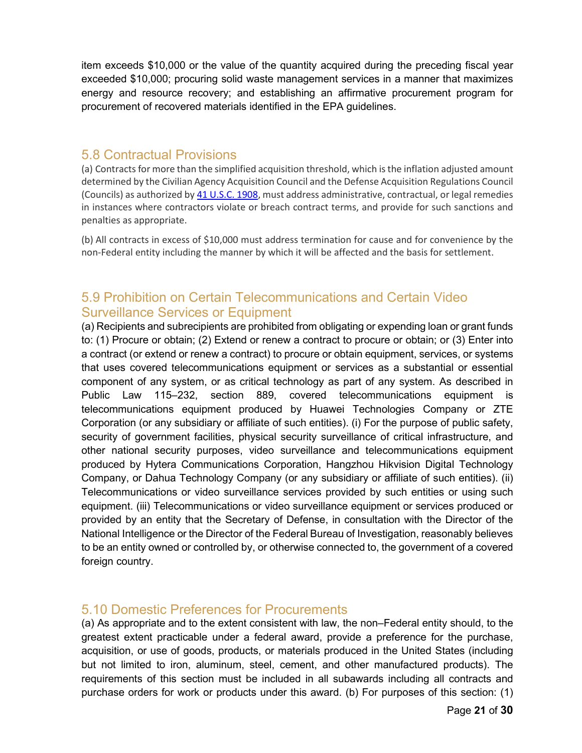item exceeds \$10,000 or the value of the quantity acquired during the preceding fiscal year exceeded \$10,000; procuring solid waste management services in a manner that maximizes energy and resource recovery; and establishing an affirmative procurement program for procurement of recovered materials identified in the EPA guidelines.

#### <span id="page-21-0"></span>5.8 Contractual Provisions

(a) Contracts for more than the simplified acquisition threshold, which is the inflation adjusted amount determined by the Civilian Agency Acquisition Council and the Defense Acquisition Regulations Council (Councils) as authorized by [41 U.S.C. 1908,](https://www.law.cornell.edu/uscode/text/41/1908) must address administrative, contractual, or legal remedies in instances where contractors violate or breach contract terms, and provide for such sanctions and penalties as appropriate.

(b) All contracts in excess of \$10,000 must address termination for cause and for convenience by the non-Federal entity including the manner by which it will be affected and the basis for settlement.

## <span id="page-21-1"></span>5.9 Prohibition on Certain Telecommunications and Certain Video Surveillance Services or Equipment

(a) Recipients and subrecipients are prohibited from obligating or expending loan or grant funds to: (1) Procure or obtain; (2) Extend or renew a contract to procure or obtain; or (3) Enter into a contract (or extend or renew a contract) to procure or obtain equipment, services, or systems that uses covered telecommunications equipment or services as a substantial or essential component of any system, or as critical technology as part of any system. As described in Public Law 115–232, section 889, covered telecommunications equipment is telecommunications equipment produced by Huawei Technologies Company or ZTE Corporation (or any subsidiary or affiliate of such entities). (i) For the purpose of public safety, security of government facilities, physical security surveillance of critical infrastructure, and other national security purposes, video surveillance and telecommunications equipment produced by Hytera Communications Corporation, Hangzhou Hikvision Digital Technology Company, or Dahua Technology Company (or any subsidiary or affiliate of such entities). (ii) Telecommunications or video surveillance services provided by such entities or using such equipment. (iii) Telecommunications or video surveillance equipment or services produced or provided by an entity that the Secretary of Defense, in consultation with the Director of the National Intelligence or the Director of the Federal Bureau of Investigation, reasonably believes to be an entity owned or controlled by, or otherwise connected to, the government of a covered foreign country.

#### <span id="page-21-2"></span>5.10 Domestic Preferences for Procurements

(a) As appropriate and to the extent consistent with law, the non–Federal entity should, to the greatest extent practicable under a federal award, provide a preference for the purchase, acquisition, or use of goods, products, or materials produced in the United States (including but not limited to iron, aluminum, steel, cement, and other manufactured products). The requirements of this section must be included in all subawards including all contracts and purchase orders for work or products under this award. (b) For purposes of this section: (1)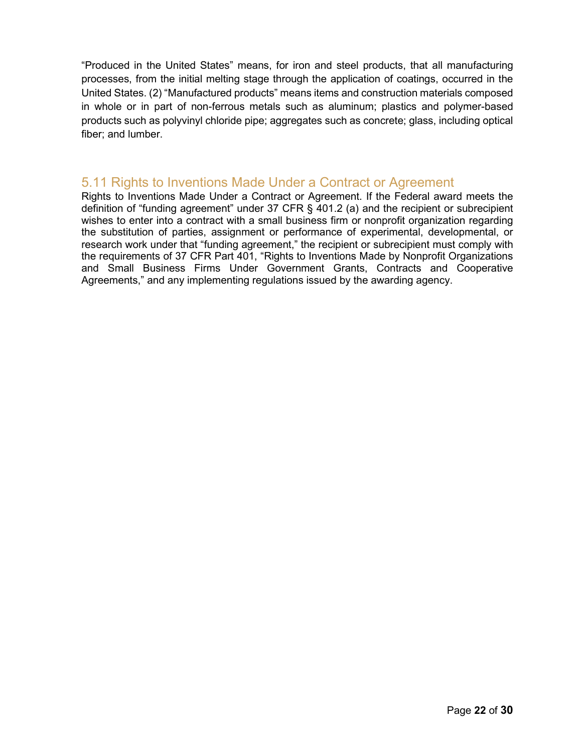"Produced in the United States" means, for iron and steel products, that all manufacturing processes, from the initial melting stage through the application of coatings, occurred in the United States. (2) "Manufactured products" means items and construction materials composed in whole or in part of non-ferrous metals such as aluminum; plastics and polymer-based products such as polyvinyl chloride pipe; aggregates such as concrete; glass, including optical fiber; and lumber.

#### <span id="page-22-0"></span>5.11 Rights to Inventions Made Under a Contract or Agreement

Rights to Inventions Made Under a Contract or Agreement. If the Federal award meets the definition of "funding agreement" under [37 CFR § 401.2 \(a\)](http://www.westlaw.com/Link/Document/FullText?findType=L&pubNum=1000547&cite=37CFRS401.2&originatingDoc=N9DDCF180DD7B11EAB398EAA2463C6B16&refType=VB&originationContext=document&vr=3.0&rs=cblt1.0&transitionType=DocumentItem&contextData=(sc.Category)#co_pp_8b3b0000958a4) and the recipient or subrecipient wishes to enter into a contract with a small business firm or nonprofit organization regarding the substitution of parties, assignment or performance of experimental, developmental, or research work under that "funding agreement," the recipient or subrecipient must comply with the requirements of 37 CFR Part 401, "Rights to Inventions Made by Nonprofit Organizations and Small Business Firms Under Government Grants, Contracts and Cooperative Agreements," and any implementing regulations issued by the awarding agency.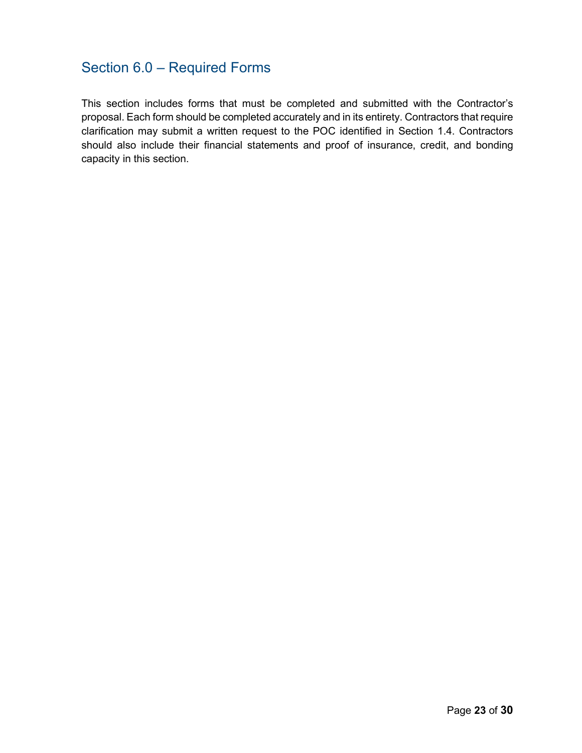## <span id="page-23-0"></span>Section 6.0 – Required Forms

This section includes forms that must be completed and submitted with the Contractor's proposal. Each form should be completed accurately and in its entirety. Contractors that require clarification may submit a written request to the POC identified in Section 1.4. Contractors should also include their financial statements and proof of insurance, credit, and bonding capacity in this section.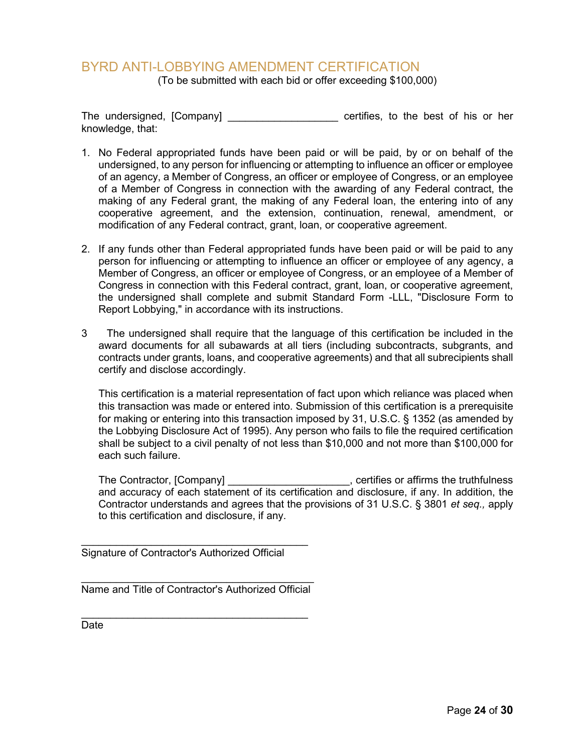#### <span id="page-24-0"></span>BYRD ANTI-LOBBYING AMENDMENT CERTIFICATION

(To be submitted with each bid or offer exceeding \$100,000)

The undersigned, [Company] The undersigned, [Company] knowledge, that:

- 1. No Federal appropriated funds have been paid or will be paid, by or on behalf of the undersigned, to any person for influencing or attempting to influence an officer or employee of an agency, a Member of Congress, an officer or employee of Congress, or an employee of a Member of Congress in connection with the awarding of any Federal contract, the making of any Federal grant, the making of any Federal loan, the entering into of any cooperative agreement, and the extension, continuation, renewal, amendment, or modification of any Federal contract, grant, loan, or cooperative agreement.
- 2. If any funds other than Federal appropriated funds have been paid or will be paid to any person for influencing or attempting to influence an officer or employee of any agency, a Member of Congress, an officer or employee of Congress, or an employee of a Member of Congress in connection with this Federal contract, grant, loan, or cooperative agreement, the undersigned shall complete and submit Standard Form -LLL, "Disclosure Form to Report Lobbying," in accordance with its instructions.
- 3 The undersigned shall require that the language of this certification be included in the award documents for all subawards at all tiers (including subcontracts, subgrants, and contracts under grants, loans, and cooperative agreements) and that all subrecipients shall certify and disclose accordingly.

This certification is a material representation of fact upon which reliance was placed when this transaction was made or entered into. Submission of this certification is a prerequisite for making or entering into this transaction imposed by 31, U.S.C. § 1352 (as amended by the Lobbying Disclosure Act of 1995). Any person who fails to file the required certification shall be subject to a civil penalty of not less than \$10,000 and not more than \$100,000 for each such failure.

The Contractor, [Company] \_\_\_\_\_\_\_\_\_\_\_\_\_\_\_\_\_\_\_\_\_, certifies or affirms the truthfulness and accuracy of each statement of its certification and disclosure, if any. In addition, the Contractor understands and agrees that the provisions of 31 U.S.C. § 3801 *et seq.,* apply to this certification and disclosure, if any.

\_\_\_\_\_\_\_\_\_\_\_\_\_\_\_\_\_\_\_\_\_\_\_\_\_\_\_\_\_\_\_\_\_\_\_\_\_\_\_ Signature of Contractor's Authorized Official

\_\_\_\_\_\_\_\_\_\_\_\_\_\_\_\_\_\_\_\_\_\_\_\_\_\_\_\_\_\_\_\_\_\_\_\_\_\_\_\_ Name and Title of Contractor's Authorized Official

\_\_\_\_\_\_\_\_\_\_\_\_\_\_\_\_\_\_\_\_\_\_\_\_\_\_\_\_\_\_\_\_\_\_\_\_\_\_\_ Date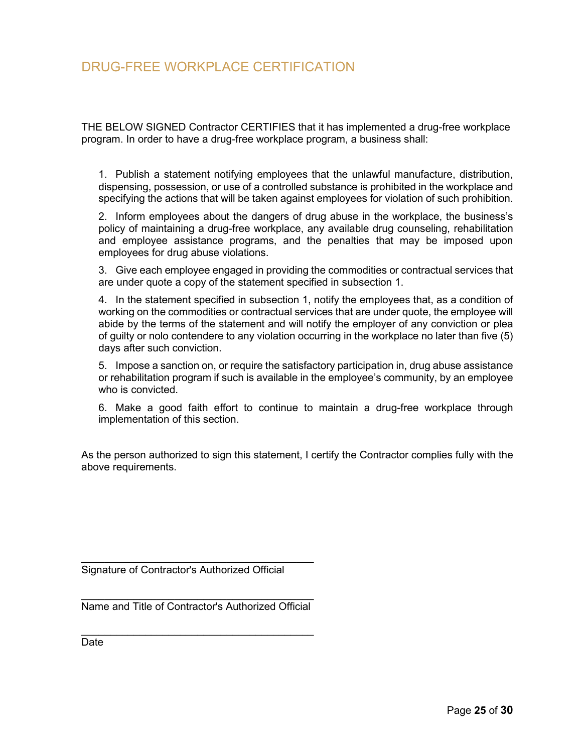## <span id="page-25-0"></span>DRUG-FREE WORKPLACE CERTIFICATION

THE BELOW SIGNED Contractor CERTIFIES that it has implemented a drug-free workplace program. In order to have a drug-free workplace program, a business shall:

1. Publish a statement notifying employees that the unlawful manufacture, distribution, dispensing, possession, or use of a controlled substance is prohibited in the workplace and specifying the actions that will be taken against employees for violation of such prohibition.

2. Inform employees about the dangers of drug abuse in the workplace, the business's policy of maintaining a drug-free workplace, any available drug counseling, rehabilitation and employee assistance programs, and the penalties that may be imposed upon employees for drug abuse violations.

3. Give each employee engaged in providing the commodities or contractual services that are under quote a copy of the statement specified in subsection 1.

4. In the statement specified in subsection 1, notify the employees that, as a condition of working on the commodities or contractual services that are under quote, the employee will abide by the terms of the statement and will notify the employer of any conviction or plea of guilty or nolo contendere to any violation occurring in the workplace no later than five (5) days after such conviction.

5. Impose a sanction on, or require the satisfactory participation in, drug abuse assistance or rehabilitation program if such is available in the employee's community, by an employee who is convicted.

6. Make a good faith effort to continue to maintain a drug-free workplace through implementation of this section.

As the person authorized to sign this statement, I certify the Contractor complies fully with the above requirements.

Signature of Contractor's Authorized Official

\_\_\_\_\_\_\_\_\_\_\_\_\_\_\_\_\_\_\_\_\_\_\_\_\_\_\_\_\_\_\_\_\_\_\_\_\_\_\_\_ Name and Title of Contractor's Authorized Official

\_\_\_\_\_\_\_\_\_\_\_\_\_\_\_\_\_\_\_\_\_\_\_\_\_\_\_\_\_\_\_\_\_\_\_\_\_\_\_\_

\_\_\_\_\_\_\_\_\_\_\_\_\_\_\_\_\_\_\_\_\_\_\_\_\_\_\_\_\_\_\_\_\_\_\_\_\_\_\_\_

Date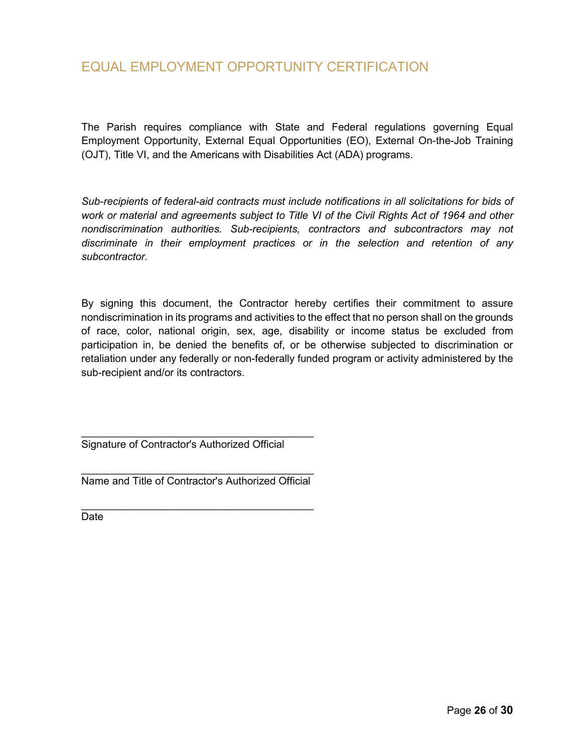<span id="page-26-0"></span>The Parish requires compliance with State and Federal regulations governing Equal Employment Opportunity, External Equal Opportunities (EO), External On-the-Job Training (OJT), Title VI, and the Americans with Disabilities Act (ADA) programs.

*Sub-recipients of federal-aid contracts must include notifications in all solicitations for bids of work or material and agreements subject to Title VI of the Civil Rights Act of 1964 and other nondiscrimination authorities. Sub-recipients, contractors and subcontractors may not discriminate in their employment practices or in the selection and retention of any subcontractor.*

By signing this document, the Contractor hereby certifies their commitment to assure nondiscrimination in its programs and activities to the effect that no person shall on the grounds of race, color, national origin, sex, age, disability or income status be excluded from participation in, be denied the benefits of, or be otherwise subjected to discrimination or retaliation under any federally or non-federally funded program or activity administered by the sub-recipient and/or its contractors.

\_\_\_\_\_\_\_\_\_\_\_\_\_\_\_\_\_\_\_\_\_\_\_\_\_\_\_\_\_\_\_\_\_\_\_\_\_\_\_\_ Signature of Contractor's Authorized Official

\_\_\_\_\_\_\_\_\_\_\_\_\_\_\_\_\_\_\_\_\_\_\_\_\_\_\_\_\_\_\_\_\_\_\_\_\_\_\_\_ Name and Title of Contractor's Authorized Official

\_\_\_\_\_\_\_\_\_\_\_\_\_\_\_\_\_\_\_\_\_\_\_\_\_\_\_\_\_\_\_\_\_\_\_\_\_\_\_\_ Date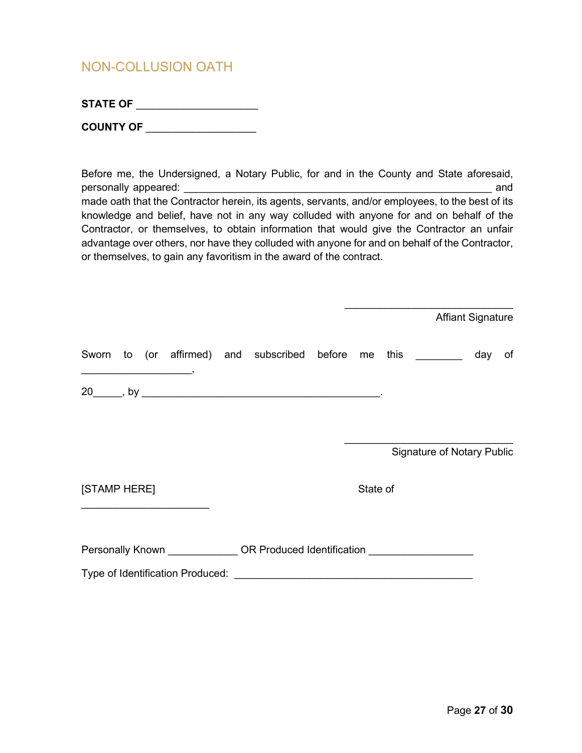## <span id="page-27-0"></span>NON-COLLUSION OATH

| <b>STATE OF</b> |  |
|-----------------|--|
|                 |  |

| <b>COUNTY OF</b> |  |
|------------------|--|
|                  |  |

Before me, the Undersigned, a Notary Public, for and in the County and State aforesaid, personally appeared:  $\blacksquare$ made oath that the Contractor herein, its agents, servants, and/or employees, to the best of its knowledge and belief, have not in any way colluded with anyone for and on behalf of the Contractor, or themselves, to obtain information that would give the Contractor an unfair advantage over others, nor have they colluded with anyone for and on behalf of the Contractor, or themselves, to gain any favoritism in the award of the contract.

|                                                                                                                                                                                                                                      |  |                                                                                  |          |                                   | <b>Affiant Signature</b> |    |
|--------------------------------------------------------------------------------------------------------------------------------------------------------------------------------------------------------------------------------------|--|----------------------------------------------------------------------------------|----------|-----------------------------------|--------------------------|----|
| <u>in the community of the community of the community of the community of the community of the community of the community of the community of the community of the community of the community of the community of the community </u> |  | Sworn to (or affirmed) and subscribed before me this ________                    |          |                                   | day                      | of |
|                                                                                                                                                                                                                                      |  |                                                                                  |          |                                   |                          |    |
|                                                                                                                                                                                                                                      |  |                                                                                  |          | <b>Signature of Notary Public</b> |                          |    |
| [STAMP HERE]<br><u> 1989 - Johann John Stein, markin fan it ferstjer fan de ferstjer fan it ferstjer fan de ferstjer fan it fers</u>                                                                                                 |  |                                                                                  | State of |                                   |                          |    |
|                                                                                                                                                                                                                                      |  | Personally Known _______________ OR Produced Identification ____________________ |          |                                   |                          |    |
|                                                                                                                                                                                                                                      |  |                                                                                  |          |                                   |                          |    |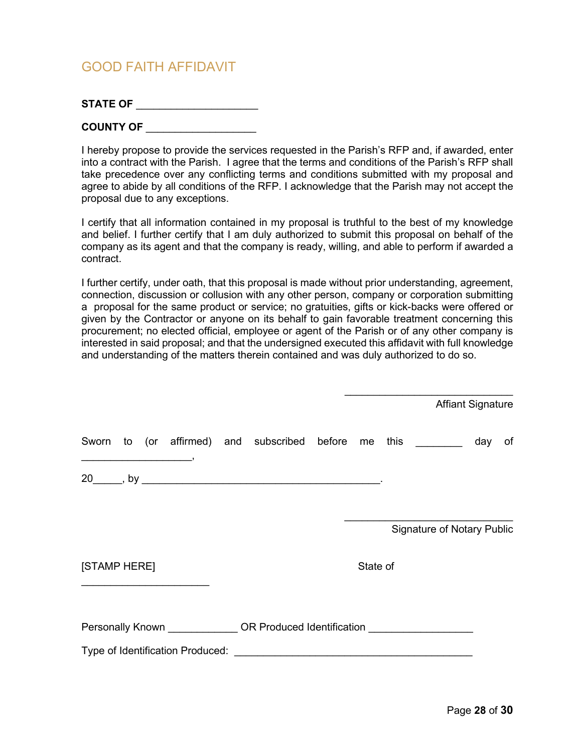### <span id="page-28-0"></span>GOOD FAITH AFFIDAVIT

| <b>STATE OF</b> |  |
|-----------------|--|
|-----------------|--|

I hereby propose to provide the services requested in the Parish's RFP and, if awarded, enter into a contract with the Parish. I agree that the terms and conditions of the Parish's RFP shall take precedence over any conflicting terms and conditions submitted with my proposal and agree to abide by all conditions of the RFP. I acknowledge that the Parish may not accept the proposal due to any exceptions.

I certify that all information contained in my proposal is truthful to the best of my knowledge and belief. I further certify that I am duly authorized to submit this proposal on behalf of the company as its agent and that the company is ready, willing, and able to perform if awarded a contract.

I further certify, under oath, that this proposal is made without prior understanding, agreement, connection, discussion or collusion with any other person, company or corporation submitting a proposal for the same product or service; no gratuities, gifts or kick-backs were offered or given by the Contractor or anyone on its behalf to gain favorable treatment concerning this procurement; no elected official, employee or agent of the Parish or of any other company is interested in said proposal; and that the undersigned executed this affidavit with full knowledge and understanding of the matters therein contained and was duly authorized to do so.

|                                                                           |  |          |                                   | <b>Affiant Signature</b> |    |
|---------------------------------------------------------------------------|--|----------|-----------------------------------|--------------------------|----|
| Sworn to (or affirmed) and subscribed before me this                      |  |          |                                   | day                      | of |
|                                                                           |  |          |                                   |                          |    |
| [STAMP HERE]                                                              |  | State of | <b>Signature of Notary Public</b> |                          |    |
| Personally Known <b>COR</b> Produced Identification <b>COR</b> Production |  |          |                                   |                          |    |
|                                                                           |  |          |                                   |                          |    |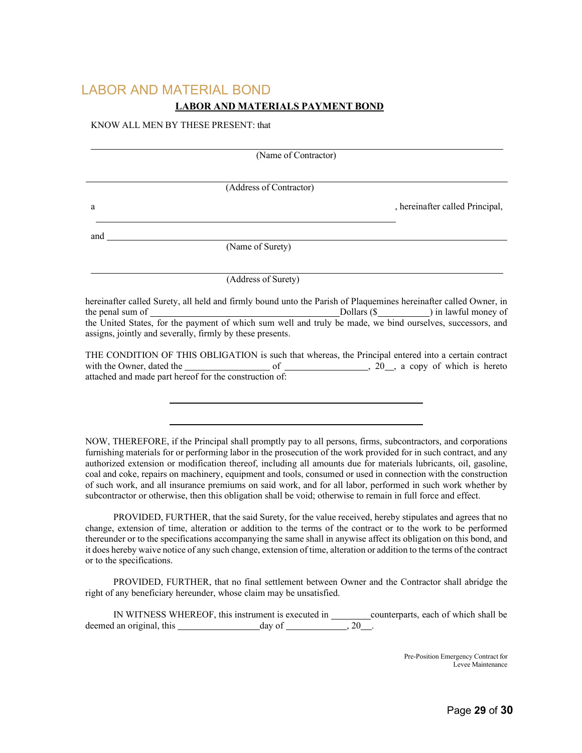## <span id="page-29-0"></span>LABOR AND MATERIAL BOND **LABOR AND MATERIALS PAYMENT BOND**

#### KNOW ALL MEN BY THESE PRESENT: that

|                    |                         | (Name of Contractor)                                                                                             |                                 |
|--------------------|-------------------------|------------------------------------------------------------------------------------------------------------------|---------------------------------|
|                    |                         |                                                                                                                  |                                 |
|                    | (Address of Contractor) |                                                                                                                  |                                 |
| a                  |                         |                                                                                                                  | , hereinafter called Principal, |
| and                |                         |                                                                                                                  |                                 |
|                    | (Name of Surety)        |                                                                                                                  |                                 |
|                    | (Address of Surety)     |                                                                                                                  |                                 |
|                    |                         | hereinafter called Surety, all held and firmly bound unto the Parish of Plaquemines hereinafter called Owner, in |                                 |
| the penal sum of _ |                         |                                                                                                                  |                                 |

the United States, for the payment of which sum well and truly be made, we bind ourselves, successors, and assigns, jointly and severally, firmly by these presents.

THE CONDITION OF THIS OBLIGATION is such that whereas, the Principal entered into a certain contract with the Owner, dated the  $\sim$  6  $\sim$  6  $\sim$  , 20  $\sim$ , a copy of which is hereto attached and made part hereof for the construction of:

NOW, THEREFORE, if the Principal shall promptly pay to all persons, firms, subcontractors, and corporations furnishing materials for or performing labor in the prosecution of the work provided for in such contract, and any authorized extension or modification thereof, including all amounts due for materials lubricants, oil, gasoline, coal and coke, repairs on machinery, equipment and tools, consumed or used in connection with the construction of such work, and all insurance premiums on said work, and for all labor, performed in such work whether by subcontractor or otherwise, then this obligation shall be void; otherwise to remain in full force and effect.

PROVIDED, FURTHER, that the said Surety, for the value received, hereby stipulates and agrees that no change, extension of time, alteration or addition to the terms of the contract or to the work to be performed thereunder or to the specifications accompanying the same shall in anywise affect its obligation on this bond, and it does hereby waive notice of any such change, extension of time, alteration or addition to the terms of the contract or to the specifications.

PROVIDED, FURTHER, that no final settlement between Owner and the Contractor shall abridge the right of any beneficiary hereunder, whose claim may be unsatisfied.

IN WITNESS WHEREOF, this instrument is executed in counterparts, each of which shall be deemed an original, this  $\_\_\_\_\_$  day of  $\_\_\_\_\_$ , 20  $\_\_\_\_\_\_$ .

> Pre-Position Emergency Contract for Levee Maintenance